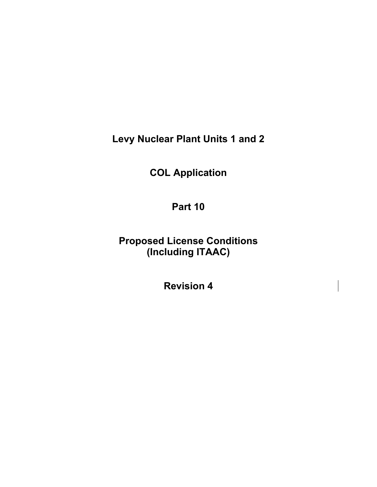**Levy Nuclear Plant Units 1 and 2** 

**COL Application** 

**Part 10** 

**Proposed License Conditions (Including ITAAC)** 

**Revision 4**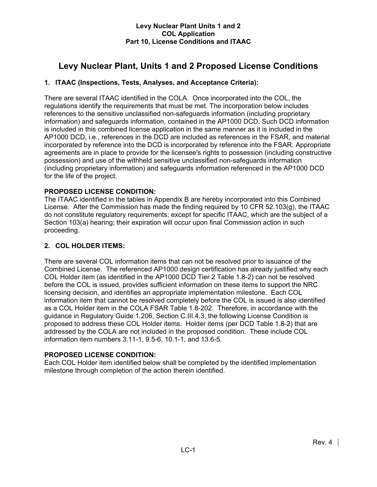# **Levy Nuclear Plant, Units 1 and 2 Proposed License Conditions**

# **1. ITAAC (Inspections, Tests, Analyses, and Acceptance Criteria):**

There are several ITAAC identified in the COLA. Once incorporated into the COL, the regulations identify the requirements that must be met. The incorporation below includes references to the sensitive unclassified non-safeguards information (including proprietary information) and safeguards information, contained in the AP1000 DCD. Such DCD information is included in this combined license application in the same manner as it is included in the AP1000 DCD, i.e., references in the DCD are included as references in the FSAR, and material incorporated by reference into the DCD is incorporated by reference into the FSAR. Appropriate agreements are in place to provide for the licensee's rights to possession (including constructive possession) and use of the withheld sensitive unclassified non-safeguards information (including proprietary information) and safeguards information referenced in the AP1000 DCD for the life of the project.

# **PROPOSED LICENSE CONDITION:**

The ITAAC identified in the tables in Appendix B are hereby incorporated into this Combined License. After the Commission has made the finding required by 10 CFR 52.103(g), the ITAAC do not constitute regulatory requirements; except for specific ITAAC, which are the subject of a Section 103(a) hearing; their expiration will occur upon final Commission action in such proceeding.

# **2. COL HOLDER ITEMS:**

There are several COL information items that can not be resolved prior to issuance of the Combined License. The referenced AP1000 design certification has already justified why each COL Holder item (as identified in the AP1000 DCD Tier 2 Table 1.8-2) can not be resolved before the COL is issued, provides sufficient information on these items to support the NRC licensing decision, and identifies an appropriate implementation milestone. Each COL information item that cannot be resolved completely before the COL is issued is also identified as a COL Holder item in the COLA FSAR Table 1.8-202. Therefore, in accordance with the guidance in Regulatory Guide 1.206, Section C.III.4.3, the following License Condition is proposed to address these COL Holder items. Holder items (per DCD Table 1.8-2) that are addressed by the COLA are not included in the proposed condition. These include COL information item numbers 3.11-1, 9.5-6, 10.1-1, and 13.6-5.

# **PROPOSED LICENSE CONDITION:**

Each COL Holder item identified below shall be completed by the identified implementation milestone through completion of the action therein identified.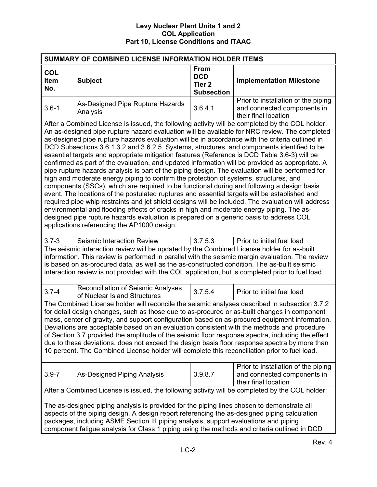| SUMMARY OF COMBINED LICENSE INFORMATION HOLDER ITEMS                                                                                                                                                                                                                                                                                                                                                                                                                                                                                                                                                                                                                                                                                                                                                                                                                                                                                                                                                                                                                                                                                                                                                                                                                                                                                         |                                                                                                                                                                                                                                                                                                                                                                                                    |                                                                     |                                                                                            |
|----------------------------------------------------------------------------------------------------------------------------------------------------------------------------------------------------------------------------------------------------------------------------------------------------------------------------------------------------------------------------------------------------------------------------------------------------------------------------------------------------------------------------------------------------------------------------------------------------------------------------------------------------------------------------------------------------------------------------------------------------------------------------------------------------------------------------------------------------------------------------------------------------------------------------------------------------------------------------------------------------------------------------------------------------------------------------------------------------------------------------------------------------------------------------------------------------------------------------------------------------------------------------------------------------------------------------------------------|----------------------------------------------------------------------------------------------------------------------------------------------------------------------------------------------------------------------------------------------------------------------------------------------------------------------------------------------------------------------------------------------------|---------------------------------------------------------------------|--------------------------------------------------------------------------------------------|
| <b>COL</b><br><b>Item</b><br>No.                                                                                                                                                                                                                                                                                                                                                                                                                                                                                                                                                                                                                                                                                                                                                                                                                                                                                                                                                                                                                                                                                                                                                                                                                                                                                                             | <b>Subject</b>                                                                                                                                                                                                                                                                                                                                                                                     | <b>From</b><br><b>DCD</b><br>Tier <sub>2</sub><br><b>Subsection</b> | <b>Implementation Milestone</b>                                                            |
| $3.6 - 1$                                                                                                                                                                                                                                                                                                                                                                                                                                                                                                                                                                                                                                                                                                                                                                                                                                                                                                                                                                                                                                                                                                                                                                                                                                                                                                                                    | As-Designed Pipe Rupture Hazards<br>Analysis                                                                                                                                                                                                                                                                                                                                                       | 3.6.4.1                                                             | Prior to installation of the piping<br>and connected components in<br>their final location |
| After a Combined License is issued, the following activity will be completed by the COL holder.<br>An as-designed pipe rupture hazard evaluation will be available for NRC review. The completed<br>as-designed pipe rupture hazards evaluation will be in accordance with the criteria outlined in<br>DCD Subsections 3.6.1.3.2 and 3.6.2.5. Systems, structures, and components identified to be<br>essential targets and appropriate mitigation features (Reference is DCD Table 3.6-3) will be<br>confirmed as part of the evaluation, and updated information will be provided as appropriate. A<br>pipe rupture hazards analysis is part of the piping design. The evaluation will be performed for<br>high and moderate energy piping to confirm the protection of systems, structures, and<br>components (SSCs), which are required to be functional during and following a design basis<br>event. The locations of the postulated ruptures and essential targets will be established and<br>required pipe whip restraints and jet shield designs will be included. The evaluation will address<br>environmental and flooding effects of cracks in high and moderate energy piping. The as-<br>designed pipe rupture hazards evaluation is prepared on a generic basis to address COL<br>applications referencing the AP1000 design. |                                                                                                                                                                                                                                                                                                                                                                                                    |                                                                     |                                                                                            |
| $3.7 - 3$                                                                                                                                                                                                                                                                                                                                                                                                                                                                                                                                                                                                                                                                                                                                                                                                                                                                                                                                                                                                                                                                                                                                                                                                                                                                                                                                    | Seismic Interaction Review                                                                                                                                                                                                                                                                                                                                                                         | 3.7.5.3                                                             | Prior to initial fuel load                                                                 |
|                                                                                                                                                                                                                                                                                                                                                                                                                                                                                                                                                                                                                                                                                                                                                                                                                                                                                                                                                                                                                                                                                                                                                                                                                                                                                                                                              | The seismic interaction review will be updated by the Combined License holder for as-built<br>information. This review is performed in parallel with the seismic margin evaluation. The review<br>is based on as-procured data, as well as the as-constructed condition. The as-built seismic<br>interaction review is not provided with the COL application, but is completed prior to fuel load. |                                                                     |                                                                                            |
| $3.7 - 4$                                                                                                                                                                                                                                                                                                                                                                                                                                                                                                                                                                                                                                                                                                                                                                                                                                                                                                                                                                                                                                                                                                                                                                                                                                                                                                                                    | <b>Reconciliation of Seismic Analyses</b><br>of Nuclear Island Structures                                                                                                                                                                                                                                                                                                                          | 3.7.5.4                                                             | Prior to initial fuel load                                                                 |
| The Combined License holder will reconcile the seismic analyses described in subsection 3.7.2<br>for detail design changes, such as those due to as-procured or as-built changes in component<br>mass, center of gravity, and support configuration based on as-procured equipment information.<br>Deviations are acceptable based on an evaluation consistent with the methods and procedure<br>of Section 3.7 provided the amplitude of the seismic floor response spectra, including the effect<br>due to these deviations, does not exceed the design basis floor response spectra by more than<br>10 percent. The Combined License holder will complete this reconciliation prior to fuel load.                                                                                                                                                                                                                                                                                                                                                                                                                                                                                                                                                                                                                                         |                                                                                                                                                                                                                                                                                                                                                                                                    |                                                                     |                                                                                            |
| $3.9 - 7$                                                                                                                                                                                                                                                                                                                                                                                                                                                                                                                                                                                                                                                                                                                                                                                                                                                                                                                                                                                                                                                                                                                                                                                                                                                                                                                                    | As-Designed Piping Analysis                                                                                                                                                                                                                                                                                                                                                                        | 3.9.8.7                                                             | Prior to installation of the piping<br>and connected components in<br>their final location |
|                                                                                                                                                                                                                                                                                                                                                                                                                                                                                                                                                                                                                                                                                                                                                                                                                                                                                                                                                                                                                                                                                                                                                                                                                                                                                                                                              | After a Combined License is issued, the following activity will be completed by the COL holder:                                                                                                                                                                                                                                                                                                    |                                                                     |                                                                                            |
| The as-designed piping analysis is provided for the piping lines chosen to demonstrate all<br>aspects of the piping design. A design report referencing the as-designed piping calculation<br>packages, including ASME Section III piping analysis, support evaluations and piping<br>component fatigue analysis for Class 1 piping using the methods and criteria outlined in DCD                                                                                                                                                                                                                                                                                                                                                                                                                                                                                                                                                                                                                                                                                                                                                                                                                                                                                                                                                           |                                                                                                                                                                                                                                                                                                                                                                                                    |                                                                     |                                                                                            |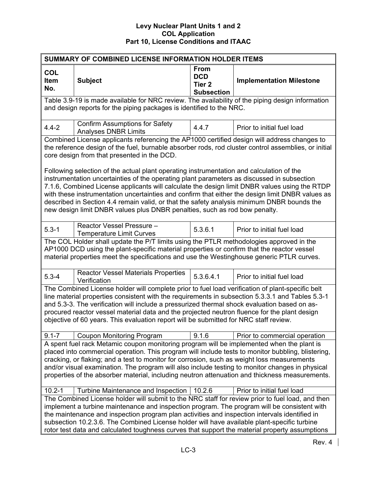| SUMMARY OF COMBINED LICENSE INFORMATION HOLDER ITEMS                                                                                                                                                                                                                                                                                                                                                                                                                                                |                                                                                                                                                                                                                                                                                                                                                                                                                                                                                                   |                                                                     |                                 |  |
|-----------------------------------------------------------------------------------------------------------------------------------------------------------------------------------------------------------------------------------------------------------------------------------------------------------------------------------------------------------------------------------------------------------------------------------------------------------------------------------------------------|---------------------------------------------------------------------------------------------------------------------------------------------------------------------------------------------------------------------------------------------------------------------------------------------------------------------------------------------------------------------------------------------------------------------------------------------------------------------------------------------------|---------------------------------------------------------------------|---------------------------------|--|
| <b>COL</b><br><b>Item</b><br>No.                                                                                                                                                                                                                                                                                                                                                                                                                                                                    | <b>Subject</b>                                                                                                                                                                                                                                                                                                                                                                                                                                                                                    | <b>From</b><br><b>DCD</b><br>Tier <sub>2</sub><br><b>Subsection</b> | <b>Implementation Milestone</b> |  |
|                                                                                                                                                                                                                                                                                                                                                                                                                                                                                                     | Table 3.9-19 is made available for NRC review. The availability of the piping design information<br>and design reports for the piping packages is identified to the NRC.                                                                                                                                                                                                                                                                                                                          |                                                                     |                                 |  |
| $4.4 - 2$                                                                                                                                                                                                                                                                                                                                                                                                                                                                                           | <b>Confirm Assumptions for Safety</b><br><b>Analyses DNBR Limits</b>                                                                                                                                                                                                                                                                                                                                                                                                                              | 4.4.7                                                               | Prior to initial fuel load      |  |
|                                                                                                                                                                                                                                                                                                                                                                                                                                                                                                     | Combined License applicants referencing the AP1000 certified design will address changes to<br>the reference design of the fuel, burnable absorber rods, rod cluster control assemblies, or initial<br>core design from that presented in the DCD.<br>Following selection of the actual plant operating instrumentation and calculation of the                                                                                                                                                    |                                                                     |                                 |  |
|                                                                                                                                                                                                                                                                                                                                                                                                                                                                                                     | instrumentation uncertainties of the operating plant parameters as discussed in subsection<br>7.1.6, Combined License applicants will calculate the design limit DNBR values using the RTDP<br>with these instrumentation uncertainties and confirm that either the design limit DNBR values as<br>described in Section 4.4 remain valid, or that the safety analysis minimum DNBR bounds the<br>new design limit DNBR values plus DNBR penalties, such as rod bow penalty.                       |                                                                     |                                 |  |
| $5.3 - 1$                                                                                                                                                                                                                                                                                                                                                                                                                                                                                           | Reactor Vessel Pressure -<br><b>Temperature Limit Curves</b>                                                                                                                                                                                                                                                                                                                                                                                                                                      | 5.3.6.1                                                             | Prior to initial fuel load      |  |
|                                                                                                                                                                                                                                                                                                                                                                                                                                                                                                     | The COL Holder shall update the P/T limits using the PTLR methodologies approved in the<br>AP1000 DCD using the plant-specific material properties or confirm that the reactor vessel<br>material properties meet the specifications and use the Westinghouse generic PTLR curves.                                                                                                                                                                                                                |                                                                     |                                 |  |
| $5.3 - 4$                                                                                                                                                                                                                                                                                                                                                                                                                                                                                           | <b>Reactor Vessel Materials Properties</b><br>Verification                                                                                                                                                                                                                                                                                                                                                                                                                                        | 5.3.6.4.1                                                           | Prior to initial fuel load      |  |
| The Combined License holder will complete prior to fuel load verification of plant-specific belt<br>line material properties consistent with the requirements in subsection 5.3.3.1 and Tables 5.3-1<br>and 5.3-3. The verification will include a pressurized thermal shock evaluation based on as-<br>procured reactor vessel material data and the projected neutron fluence for the plant design<br>objective of 60 years. This evaluation report will be submitted for NRC staff review.       |                                                                                                                                                                                                                                                                                                                                                                                                                                                                                                   |                                                                     |                                 |  |
| $9.1 - 7$                                                                                                                                                                                                                                                                                                                                                                                                                                                                                           | <b>Coupon Monitoring Program</b>                                                                                                                                                                                                                                                                                                                                                                                                                                                                  | 9.1.6                                                               | Prior to commercial operation   |  |
| A spent fuel rack Metamic coupon monitoring program will be implemented when the plant is<br>placed into commercial operation. This program will include tests to monitor bubbling, blistering,<br>cracking, or flaking; and a test to monitor for corrosion, such as weight loss measurements<br>and/or visual examination. The program will also include testing to monitor changes in physical<br>properties of the absorber material, including neutron attenuation and thickness measurements. |                                                                                                                                                                                                                                                                                                                                                                                                                                                                                                   |                                                                     |                                 |  |
| $10.2 - 1$                                                                                                                                                                                                                                                                                                                                                                                                                                                                                          | Turbine Maintenance and Inspection                                                                                                                                                                                                                                                                                                                                                                                                                                                                | 10.2.6                                                              | Prior to initial fuel load      |  |
|                                                                                                                                                                                                                                                                                                                                                                                                                                                                                                     | The Combined License holder will submit to the NRC staff for review prior to fuel load, and then<br>implement a turbine maintenance and inspection program. The program will be consistent with<br>the maintenance and inspection program plan activities and inspection intervals identified in<br>subsection 10.2.3.6. The Combined License holder will have available plant-specific turbine<br>rotor test data and calculated toughness curves that support the material property assumptions |                                                                     |                                 |  |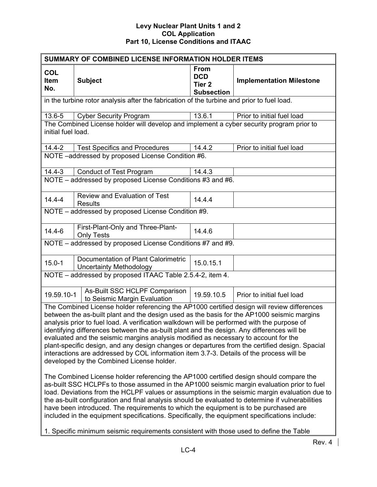| SUMMARY OF COMBINED LICENSE INFORMATION HOLDER ITEMS                                                                                                                                                                                                                                                                                                                                                                                                                                                                                                                                                                                                                                                                                                                                                                                                                                                                                                                                                             |                                                                                                                                                                                                                                                                                            |                                                                     |                                 |  |
|------------------------------------------------------------------------------------------------------------------------------------------------------------------------------------------------------------------------------------------------------------------------------------------------------------------------------------------------------------------------------------------------------------------------------------------------------------------------------------------------------------------------------------------------------------------------------------------------------------------------------------------------------------------------------------------------------------------------------------------------------------------------------------------------------------------------------------------------------------------------------------------------------------------------------------------------------------------------------------------------------------------|--------------------------------------------------------------------------------------------------------------------------------------------------------------------------------------------------------------------------------------------------------------------------------------------|---------------------------------------------------------------------|---------------------------------|--|
| <b>COL</b><br>Item<br>No.                                                                                                                                                                                                                                                                                                                                                                                                                                                                                                                                                                                                                                                                                                                                                                                                                                                                                                                                                                                        | <b>Subject</b>                                                                                                                                                                                                                                                                             | <b>From</b><br><b>DCD</b><br>Tier <sub>2</sub><br><b>Subsection</b> | <b>Implementation Milestone</b> |  |
|                                                                                                                                                                                                                                                                                                                                                                                                                                                                                                                                                                                                                                                                                                                                                                                                                                                                                                                                                                                                                  | in the turbine rotor analysis after the fabrication of the turbine and prior to fuel load.                                                                                                                                                                                                 |                                                                     |                                 |  |
| 13.6-5                                                                                                                                                                                                                                                                                                                                                                                                                                                                                                                                                                                                                                                                                                                                                                                                                                                                                                                                                                                                           | <b>Cyber Security Program</b>                                                                                                                                                                                                                                                              | 13.6.1                                                              | Prior to initial fuel load      |  |
| initial fuel load.                                                                                                                                                                                                                                                                                                                                                                                                                                                                                                                                                                                                                                                                                                                                                                                                                                                                                                                                                                                               | The Combined License holder will develop and implement a cyber security program prior to                                                                                                                                                                                                   |                                                                     |                                 |  |
| $14.4 - 2$                                                                                                                                                                                                                                                                                                                                                                                                                                                                                                                                                                                                                                                                                                                                                                                                                                                                                                                                                                                                       | <b>Test Specifics and Procedures</b>                                                                                                                                                                                                                                                       | 14.4.2                                                              | Prior to initial fuel load      |  |
|                                                                                                                                                                                                                                                                                                                                                                                                                                                                                                                                                                                                                                                                                                                                                                                                                                                                                                                                                                                                                  | NOTE-addressed by proposed License Condition #6.                                                                                                                                                                                                                                           |                                                                     |                                 |  |
| $14.4 - 3$                                                                                                                                                                                                                                                                                                                                                                                                                                                                                                                                                                                                                                                                                                                                                                                                                                                                                                                                                                                                       | <b>Conduct of Test Program</b>                                                                                                                                                                                                                                                             | 14.4.3                                                              |                                 |  |
|                                                                                                                                                                                                                                                                                                                                                                                                                                                                                                                                                                                                                                                                                                                                                                                                                                                                                                                                                                                                                  | NOTE - addressed by proposed License Conditions #3 and #6.                                                                                                                                                                                                                                 |                                                                     |                                 |  |
| $14.4 - 4$                                                                                                                                                                                                                                                                                                                                                                                                                                                                                                                                                                                                                                                                                                                                                                                                                                                                                                                                                                                                       | <b>Review and Evaluation of Test</b><br><b>Results</b>                                                                                                                                                                                                                                     | 14.4.4                                                              |                                 |  |
|                                                                                                                                                                                                                                                                                                                                                                                                                                                                                                                                                                                                                                                                                                                                                                                                                                                                                                                                                                                                                  | NOTE - addressed by proposed License Condition #9.                                                                                                                                                                                                                                         |                                                                     |                                 |  |
| $14.4 - 6$                                                                                                                                                                                                                                                                                                                                                                                                                                                                                                                                                                                                                                                                                                                                                                                                                                                                                                                                                                                                       | First-Plant-Only and Three-Plant-<br><b>Only Tests</b>                                                                                                                                                                                                                                     | 14.4.6                                                              |                                 |  |
|                                                                                                                                                                                                                                                                                                                                                                                                                                                                                                                                                                                                                                                                                                                                                                                                                                                                                                                                                                                                                  | NOTE - addressed by proposed License Conditions #7 and #9.                                                                                                                                                                                                                                 |                                                                     |                                 |  |
| $15.0 - 1$                                                                                                                                                                                                                                                                                                                                                                                                                                                                                                                                                                                                                                                                                                                                                                                                                                                                                                                                                                                                       | Documentation of Plant Calorimetric<br><b>Uncertainty Methodology</b>                                                                                                                                                                                                                      | 15.0.15.1                                                           |                                 |  |
|                                                                                                                                                                                                                                                                                                                                                                                                                                                                                                                                                                                                                                                                                                                                                                                                                                                                                                                                                                                                                  | NOTE - addressed by proposed ITAAC Table 2.5.4-2, item 4.                                                                                                                                                                                                                                  |                                                                     |                                 |  |
| 19.59.10-1                                                                                                                                                                                                                                                                                                                                                                                                                                                                                                                                                                                                                                                                                                                                                                                                                                                                                                                                                                                                       | As-Built SSC HCLPF Comparison<br>to Seismic Margin Evaluation                                                                                                                                                                                                                              | 19.59.10.5                                                          | Prior to initial fuel load      |  |
| The Combined License holder referencing the AP1000 certified design will review differences<br>between the as-built plant and the design used as the basis for the AP1000 seismic margins<br>analysis prior to fuel load. A verification walkdown will be performed with the purpose of<br>identifying differences between the as-built plant and the design. Any differences will be<br>evaluated and the seismic margins analysis modified as necessary to account for the<br>plant-specific design, and any design changes or departures from the certified design. Spacial<br>interactions are addressed by COL information item 3.7-3. Details of the process will be<br>developed by the Combined License holder.<br>The Combined License holder referencing the AP1000 certified design should compare the<br>as-built SSC HCLPFs to those assumed in the AP1000 seismic margin evaluation prior to fuel<br>load. Deviations from the HCLPF values or assumptions in the seismic margin evaluation due to |                                                                                                                                                                                                                                                                                            |                                                                     |                                 |  |
|                                                                                                                                                                                                                                                                                                                                                                                                                                                                                                                                                                                                                                                                                                                                                                                                                                                                                                                                                                                                                  | the as-built configuration and final analysis should be evaluated to determine if vulnerabilities<br>have been introduced. The requirements to which the equipment is to be purchased are<br>included in the equipment specifications. Specifically, the equipment specifications include: |                                                                     |                                 |  |
|                                                                                                                                                                                                                                                                                                                                                                                                                                                                                                                                                                                                                                                                                                                                                                                                                                                                                                                                                                                                                  | 1. Specific minimum seismic requirements consistent with those used to define the Table                                                                                                                                                                                                    |                                                                     |                                 |  |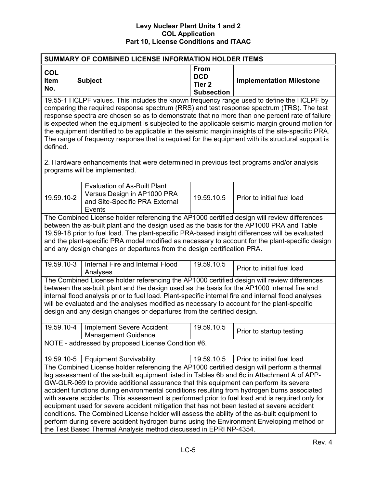| <b>SUMMARY OF COMBINED LICENSE INFORMATION HOLDER ITEMS</b>                                                                                                                                                                                                                                                                                                                                                                                                                                                                                                                                                                                                                                                                                                                                                                                        |                                                                                                                                                                                                                                                                                                                                                                                                                                                                                                                                                                                                       |                                                                     |                                 |  |  |
|----------------------------------------------------------------------------------------------------------------------------------------------------------------------------------------------------------------------------------------------------------------------------------------------------------------------------------------------------------------------------------------------------------------------------------------------------------------------------------------------------------------------------------------------------------------------------------------------------------------------------------------------------------------------------------------------------------------------------------------------------------------------------------------------------------------------------------------------------|-------------------------------------------------------------------------------------------------------------------------------------------------------------------------------------------------------------------------------------------------------------------------------------------------------------------------------------------------------------------------------------------------------------------------------------------------------------------------------------------------------------------------------------------------------------------------------------------------------|---------------------------------------------------------------------|---------------------------------|--|--|
| <b>COL</b><br>Item<br>No.                                                                                                                                                                                                                                                                                                                                                                                                                                                                                                                                                                                                                                                                                                                                                                                                                          | <b>Subject</b>                                                                                                                                                                                                                                                                                                                                                                                                                                                                                                                                                                                        | <b>From</b><br><b>DCD</b><br>Tier <sub>2</sub><br><b>Subsection</b> | <b>Implementation Milestone</b> |  |  |
| defined.<br>2. Hardware enhancements that were determined in previous test programs and/or analysis                                                                                                                                                                                                                                                                                                                                                                                                                                                                                                                                                                                                                                                                                                                                                | 19.55-1 HCLPF values. This includes the known frequency range used to define the HCLPF by<br>comparing the required response spectrum (RRS) and test response spectrum (TRS). The test<br>response spectra are chosen so as to demonstrate that no more than one percent rate of failure<br>is expected when the equipment is subjected to the applicable seismic margin ground motion for<br>the equipment identified to be applicable in the seismic margin insights of the site-specific PRA.<br>The range of frequency response that is required for the equipment with its structural support is |                                                                     |                                 |  |  |
|                                                                                                                                                                                                                                                                                                                                                                                                                                                                                                                                                                                                                                                                                                                                                                                                                                                    | programs will be implemented.                                                                                                                                                                                                                                                                                                                                                                                                                                                                                                                                                                         |                                                                     |                                 |  |  |
| 19.59.10-2                                                                                                                                                                                                                                                                                                                                                                                                                                                                                                                                                                                                                                                                                                                                                                                                                                         | <b>Evaluation of As-Built Plant</b><br>Versus Design in AP1000 PRA<br>and Site-Specific PRA External<br>Events                                                                                                                                                                                                                                                                                                                                                                                                                                                                                        | 19.59.10.5                                                          | Prior to initial fuel load      |  |  |
|                                                                                                                                                                                                                                                                                                                                                                                                                                                                                                                                                                                                                                                                                                                                                                                                                                                    | The Combined License holder referencing the AP1000 certified design will review differences<br>between the as-built plant and the design used as the basis for the AP1000 PRA and Table<br>19.59-18 prior to fuel load. The plant-specific PRA-based insight differences will be evaluated<br>and the plant-specific PRA model modified as necessary to account for the plant-specific design<br>and any design changes or departures from the design certification PRA.                                                                                                                              |                                                                     |                                 |  |  |
| 19.59.10-3                                                                                                                                                                                                                                                                                                                                                                                                                                                                                                                                                                                                                                                                                                                                                                                                                                         | Internal Fire and Internal Flood<br>Analyses                                                                                                                                                                                                                                                                                                                                                                                                                                                                                                                                                          | 19.59.10.5                                                          | Prior to initial fuel load      |  |  |
| The Combined License holder referencing the AP1000 certified design will review differences<br>between the as-built plant and the design used as the basis for the AP1000 internal fire and<br>internal flood analysis prior to fuel load. Plant-specific internal fire and internal flood analyses<br>will be evaluated and the analyses modified as necessary to account for the plant-specific<br>design and any design changes or departures from the certified design.                                                                                                                                                                                                                                                                                                                                                                        |                                                                                                                                                                                                                                                                                                                                                                                                                                                                                                                                                                                                       |                                                                     |                                 |  |  |
| 19.59.10-4                                                                                                                                                                                                                                                                                                                                                                                                                                                                                                                                                                                                                                                                                                                                                                                                                                         | <b>Implement Severe Accident</b><br><b>Management Guidance</b>                                                                                                                                                                                                                                                                                                                                                                                                                                                                                                                                        | 19.59.10.5                                                          | Prior to startup testing        |  |  |
| NOTE - addressed by proposed License Condition #6.                                                                                                                                                                                                                                                                                                                                                                                                                                                                                                                                                                                                                                                                                                                                                                                                 |                                                                                                                                                                                                                                                                                                                                                                                                                                                                                                                                                                                                       |                                                                     |                                 |  |  |
| 19.59.10-5                                                                                                                                                                                                                                                                                                                                                                                                                                                                                                                                                                                                                                                                                                                                                                                                                                         | <b>Equipment Survivability</b>                                                                                                                                                                                                                                                                                                                                                                                                                                                                                                                                                                        | 19.59.10.5                                                          | Prior to initial fuel load      |  |  |
| The Combined License holder referencing the AP1000 certified design will perform a thermal<br>lag assessment of the as-built equipment listed in Tables 6b and 6c in Attachment A of APP-<br>GW-GLR-069 to provide additional assurance that this equipment can perform its severe<br>accident functions during environmental conditions resulting from hydrogen burns associated<br>with severe accidents. This assessment is performed prior to fuel load and is required only for<br>equipment used for severe accident mitigation that has not been tested at severe accident<br>conditions. The Combined License holder will assess the ability of the as-built equipment to<br>perform during severe accident hydrogen burns using the Environment Enveloping method or<br>the Test Based Thermal Analysis method discussed in EPRI NP-4354. |                                                                                                                                                                                                                                                                                                                                                                                                                                                                                                                                                                                                       |                                                                     |                                 |  |  |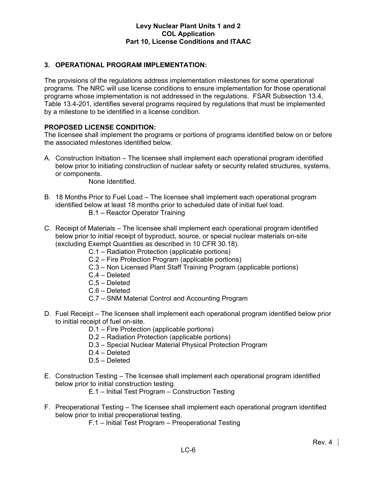# **3. OPERATIONAL PROGRAM IMPLEMENTATION:**

The provisions of the regulations address implementation milestones for some operational programs. The NRC will use license conditions to ensure implementation for those operational programs whose implementation is not addressed in the regulations. FSAR Subsection 13.4, Table 13.4-201, identifies several programs required by regulations that must be implemented by a milestone to be identified in a license condition.

# **PROPOSED LICENSE CONDITION:**

The licensee shall implement the programs or portions of programs identified below on or before the associated milestones identified below.

A. Construction Initiation – The licensee shall implement each operational program identified below prior to initiating construction of nuclear safety or security related structures, systems, or components.

None Identified.

- B. 18 Months Prior to Fuel Load The licensee shall implement each operational program identified below at least 18 months prior to scheduled date of initial fuel load. B.1 – Reactor Operator Training
- C. Receipt of Materials The licensee shall implement each operational program identified below prior to initial receipt of byproduct, source, or special nuclear materials on-site (excluding Exempt Quantities as described in 10 CFR 30.18).
	- C.1 Radiation Protection (applicable portions)
	- C.2 Fire Protection Program (applicable portions)
	- C.3 Non Licensed Plant Staff Training Program (applicable portions)
	- C.4 Deleted
	- C.5 Deleted
	- C.6 Deleted
	- C.7 SNM Material Control and Accounting Program
- D. Fuel Receipt The licensee shall implement each operational program identified below prior to initial receipt of fuel on-site.
	- D.1 Fire Protection (applicable portions)
	- D.2 Radiation Protection (applicable portions)
	- D.3 Special Nuclear Material Physical Protection Program
	- D.4 Deleted
	- D.5 Deleted
- E. Construction Testing The licensee shall implement each operational program identified below prior to initial construction testing.
	- E.1 Initial Test Program Construction Testing
- F. Preoperational Testing The licensee shall implement each operational program identified below prior to initial preoperational testing.
	- F.1 Initial Test Program Preoperational Testing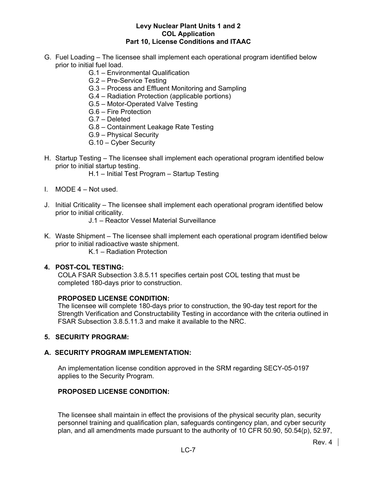- G. Fuel Loading The licensee shall implement each operational program identified below prior to initial fuel load.
	- G.1 Environmental Qualification
	- G.2 Pre-Service Testing
	- G.3 Process and Effluent Monitoring and Sampling
	- G.4 Radiation Protection (applicable portions)
	- G.5 Motor-Operated Valve Testing
	- G.6 Fire Protection
	- G.7 Deleted
	- G.8 Containment Leakage Rate Testing
	- G.9 Physical Security
	- G.10 Cyber Security
- H. Startup Testing The licensee shall implement each operational program identified below prior to initial startup testing.
	- H.1 Initial Test Program Startup Testing
- I. MODE 4 Not used.
- J. Initial Criticality The licensee shall implement each operational program identified below prior to initial criticality.
	- J.1 Reactor Vessel Material Surveillance
- K. Waste Shipment The licensee shall implement each operational program identified below prior to initial radioactive waste shipment.
	- K.1 Radiation Protection

### **4. POST-COL TESTING:**

COLA FSAR Subsection 3.8.5.11 specifies certain post COL testing that must be completed 180-days prior to construction.

#### **PROPOSED LICENSE CONDITION:**

The licensee will complete 180-days prior to construction, the 90-day test report for the Strength Verification and Constructability Testing in accordance with the criteria outlined in FSAR Subsection 3.8.5.11.3 and make it available to the NRC.

#### **5. SECURITY PROGRAM:**

#### **A. SECURITY PROGRAM IMPLEMENTATION:**

An implementation license condition approved in the SRM regarding SECY-05-0197 applies to the Security Program.

# **PROPOSED LICENSE CONDITION:**

The licensee shall maintain in effect the provisions of the physical security plan, security personnel training and qualification plan, safeguards contingency plan, and cyber security plan, and all amendments made pursuant to the authority of 10 CFR 50.90, 50.54(p), 52.97,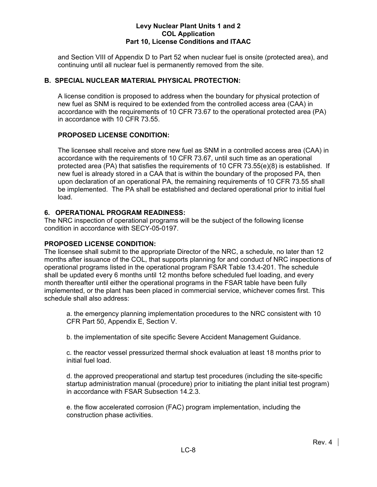and Section VIII of Appendix D to Part 52 when nuclear fuel is onsite (protected area), and continuing until all nuclear fuel is permanently removed from the site.

# **B. SPECIAL NUCLEAR MATERIAL PHYSICAL PROTECTION:**

A license condition is proposed to address when the boundary for physical protection of new fuel as SNM is required to be extended from the controlled access area (CAA) in accordance with the requirements of 10 CFR 73.67 to the operational protected area (PA) in accordance with 10 CFR 73.55.

# **PROPOSED LICENSE CONDITION:**

The licensee shall receive and store new fuel as SNM in a controlled access area (CAA) in accordance with the requirements of 10 CFR 73.67, until such time as an operational protected area (PA) that satisfies the requirements of 10 CFR 73.55(e)(8) is established. If new fuel is already stored in a CAA that is within the boundary of the proposed PA, then upon declaration of an operational PA, the remaining requirements of 10 CFR 73.55 shall be implemented. The PA shall be established and declared operational prior to initial fuel load.

# **6. OPERATIONAL PROGRAM READINESS:**

The NRC inspection of operational programs will be the subject of the following license condition in accordance with SECY-05-0197.

# **PROPOSED LICENSE CONDITION:**

The licensee shall submit to the appropriate Director of the NRC, a schedule, no later than 12 months after issuance of the COL, that supports planning for and conduct of NRC inspections of operational programs listed in the operational program FSAR Table 13.4-201. The schedule shall be updated every 6 months until 12 months before scheduled fuel loading, and every month thereafter until either the operational programs in the FSAR table have been fully implemented, or the plant has been placed in commercial service, whichever comes first. This schedule shall also address:

a. the emergency planning implementation procedures to the NRC consistent with 10 CFR Part 50, Appendix E, Section V.

b. the implementation of site specific Severe Accident Management Guidance.

c. the reactor vessel pressurized thermal shock evaluation at least 18 months prior to initial fuel load.

d. the approved preoperational and startup test procedures (including the site-specific startup administration manual (procedure) prior to initiating the plant initial test program) in accordance with FSAR Subsection 14.2.3.

e. the flow accelerated corrosion (FAC) program implementation, including the construction phase activities.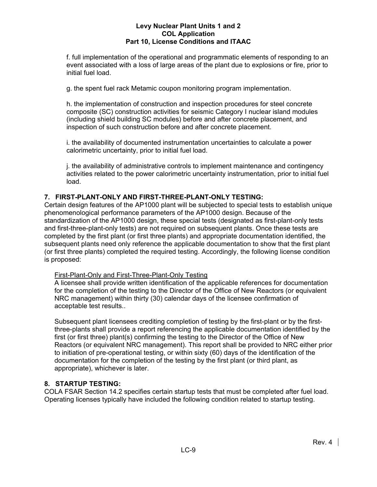f. full implementation of the operational and programmatic elements of responding to an event associated with a loss of large areas of the plant due to explosions or fire, prior to initial fuel load.

g. the spent fuel rack Metamic coupon monitoring program implementation.

h. the implementation of construction and inspection procedures for steel concrete composite (SC) construction activities for seismic Category I nuclear island modules (including shield building SC modules) before and after concrete placement, and inspection of such construction before and after concrete placement.

i. the availability of documented instrumentation uncertainties to calculate a power calorimetric uncertainty, prior to initial fuel load.

j. the availability of administrative controls to implement maintenance and contingency activities related to the power calorimetric uncertainty instrumentation, prior to initial fuel load.

# **7. FIRST-PLANT-ONLY AND FIRST-THREE-PLANT-ONLY TESTING:**

Certain design features of the AP1000 plant will be subjected to special tests to establish unique phenomenological performance parameters of the AP1000 design. Because of the standardization of the AP1000 design, these special tests (designated as first-plant-only tests and first-three-plant-only tests) are not required on subsequent plants. Once these tests are completed by the first plant (or first three plants) and appropriate documentation identified, the subsequent plants need only reference the applicable documentation to show that the first plant (or first three plants) completed the required testing. Accordingly, the following license condition is proposed:

# First-Plant-Only and First-Three-Plant-Only Testing

A licensee shall provide written identification of the applicable references for documentation for the completion of the testing to the Director of the Office of New Reactors (or equivalent NRC management) within thirty (30) calendar days of the licensee confirmation of acceptable test results..

Subsequent plant licensees crediting completion of testing by the first-plant or by the firstthree-plants shall provide a report referencing the applicable documentation identified by the first (or first three) plant(s) confirming the testing to the Director of the Office of New Reactors (or equivalent NRC management). This report shall be provided to NRC either prior to initiation of pre-operational testing, or within sixty (60) days of the identification of the documentation for the completion of the testing by the first plant (or third plant, as appropriate), whichever is later.

# **8. STARTUP TESTING:**

COLA FSAR Section 14.2 specifies certain startup tests that must be completed after fuel load. Operating licenses typically have included the following condition related to startup testing.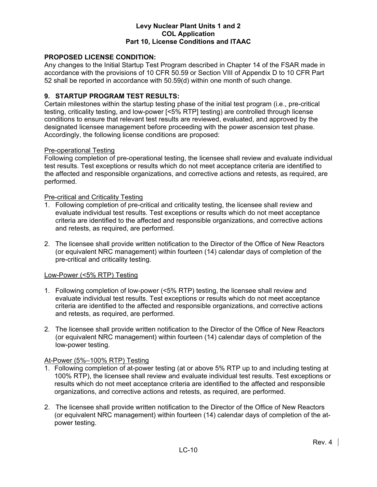# **PROPOSED LICENSE CONDITION:**

Any changes to the Initial Startup Test Program described in Chapter 14 of the FSAR made in accordance with the provisions of 10 CFR 50.59 or Section VIII of Appendix D to 10 CFR Part 52 shall be reported in accordance with 50.59(d) within one month of such change.

# **9. STARTUP PROGRAM TEST RESULTS:**

Certain milestones within the startup testing phase of the initial test program (i.e., pre-critical testing, criticality testing, and low-power [<5% RTP] testing) are controlled through license conditions to ensure that relevant test results are reviewed, evaluated, and approved by the designated licensee management before proceeding with the power ascension test phase. Accordingly, the following license conditions are proposed:

#### Pre-operational Testing

Following completion of pre-operational testing, the licensee shall review and evaluate individual test results. Test exceptions or results which do not meet acceptance criteria are identified to the affected and responsible organizations, and corrective actions and retests, as required, are performed.

#### Pre-critical and Criticality Testing

- 1. Following completion of pre-critical and criticality testing, the licensee shall review and evaluate individual test results. Test exceptions or results which do not meet acceptance criteria are identified to the affected and responsible organizations, and corrective actions and retests, as required, are performed.
- 2. The licensee shall provide written notification to the Director of the Office of New Reactors (or equivalent NRC management) within fourteen (14) calendar days of completion of the pre-critical and criticality testing.

#### Low-Power (<5% RTP) Testing

- 1. Following completion of low-power (<5% RTP) testing, the licensee shall review and evaluate individual test results. Test exceptions or results which do not meet acceptance criteria are identified to the affected and responsible organizations, and corrective actions and retests, as required, are performed.
- 2. The licensee shall provide written notification to the Director of the Office of New Reactors (or equivalent NRC management) within fourteen (14) calendar days of completion of the low-power testing.

#### At-Power (5%–100% RTP) Testing

- 1. Following completion of at-power testing (at or above 5% RTP up to and including testing at 100% RTP), the licensee shall review and evaluate individual test results. Test exceptions or results which do not meet acceptance criteria are identified to the affected and responsible organizations, and corrective actions and retests, as required, are performed.
- 2. The licensee shall provide written notification to the Director of the Office of New Reactors (or equivalent NRC management) within fourteen (14) calendar days of completion of the atpower testing.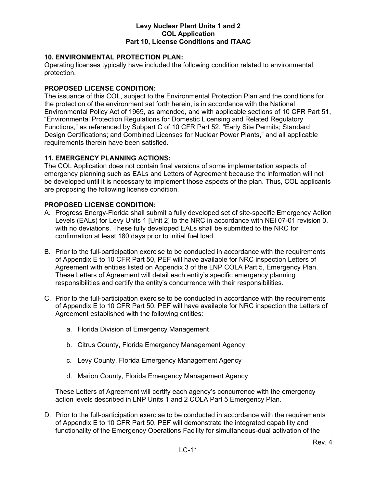# **10. ENVIRONMENTAL PROTECTION PLAN:**

Operating licenses typically have included the following condition related to environmental protection.

# **PROPOSED LICENSE CONDITION:**

The issuance of this COL, subject to the Environmental Protection Plan and the conditions for the protection of the environment set forth herein, is in accordance with the National Environmental Policy Act of 1969, as amended, and with applicable sections of 10 CFR Part 51, "Environmental Protection Regulations for Domestic Licensing and Related Regulatory Functions," as referenced by Subpart C of 10 CFR Part 52, "Early Site Permits; Standard Design Certifications; and Combined Licenses for Nuclear Power Plants," and all applicable requirements therein have been satisfied.

# **11. EMERGENCY PLANNING ACTIONS:**

The COL Application does not contain final versions of some implementation aspects of emergency planning such as EALs and Letters of Agreement because the information will not be developed until it is necessary to implement those aspects of the plan. Thus, COL applicants are proposing the following license condition.

# **PROPOSED LICENSE CONDITION:**

- A. Progress Energy-Florida shall submit a fully developed set of site-specific Emergency Action Levels (EALs) for Levy Units 1 [Unit 2] to the NRC in accordance with NEI 07-01 revision 0, with no deviations. These fully developed EALs shall be submitted to the NRC for confirmation at least 180 days prior to initial fuel load.
- B. Prior to the full-participation exercise to be conducted in accordance with the requirements of Appendix E to 10 CFR Part 50, PEF will have available for NRC inspection Letters of Agreement with entities listed on Appendix 3 of the LNP COLA Part 5, Emergency Plan. These Letters of Agreement will detail each entity's specific emergency planning responsibilities and certify the entity's concurrence with their responsibilities.
- C. Prior to the full-participation exercise to be conducted in accordance with the requirements of Appendix E to 10 CFR Part 50, PEF will have available for NRC inspection the Letters of Agreement established with the following entities:
	- a. Florida Division of Emergency Management
	- b. Citrus County, Florida Emergency Management Agency
	- c. Levy County, Florida Emergency Management Agency
	- d. Marion County, Florida Emergency Management Agency

These Letters of Agreement will certify each agency's concurrence with the emergency action levels described in LNP Units 1 and 2 COLA Part 5 Emergency Plan.

D. Prior to the full-participation exercise to be conducted in accordance with the requirements of Appendix E to 10 CFR Part 50, PEF will demonstrate the integrated capability and functionality of the Emergency Operations Facility for simultaneous-dual activation of the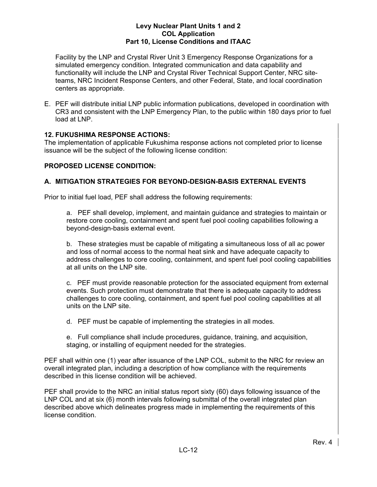Facility by the LNP and Crystal River Unit 3 Emergency Response Organizations for a simulated emergency condition. Integrated communication and data capability and functionality will include the LNP and Crystal River Technical Support Center, NRC siteteams, NRC Incident Response Centers, and other Federal, State, and local coordination centers as appropriate.

E. PEF will distribute initial LNP public information publications, developed in coordination with CR3 and consistent with the LNP Emergency Plan, to the public within 180 days prior to fuel load at LNP.

# **12. FUKUSHIMA RESPONSE ACTIONS:**

The implementation of applicable Fukushima response actions not completed prior to license issuance will be the subject of the following license condition:

# **PROPOSED LICENSE CONDITION:**

# **A. MITIGATION STRATEGIES FOR BEYOND-DESIGN-BASIS EXTERNAL EVENTS**

Prior to initial fuel load, PEF shall address the following requirements:

a. PEF shall develop, implement, and maintain guidance and strategies to maintain or restore core cooling, containment and spent fuel pool cooling capabilities following a beyond-design-basis external event.

b. These strategies must be capable of mitigating a simultaneous loss of all ac power and loss of normal access to the normal heat sink and have adequate capacity to address challenges to core cooling, containment, and spent fuel pool cooling capabilities at all units on the LNP site.

c. PEF must provide reasonable protection for the associated equipment from external events. Such protection must demonstrate that there is adequate capacity to address challenges to core cooling, containment, and spent fuel pool cooling capabilities at all units on the LNP site.

- d. PEF must be capable of implementing the strategies in all modes.
- e. Full compliance shall include procedures, guidance, training, and acquisition, staging, or installing of equipment needed for the strategies.

PEF shall within one (1) year after issuance of the LNP COL, submit to the NRC for review an overall integrated plan, including a description of how compliance with the requirements described in this license condition will be achieved.

PEF shall provide to the NRC an initial status report sixty (60) days following issuance of the LNP COL and at six (6) month intervals following submittal of the overall integrated plan described above which delineates progress made in implementing the requirements of this license condition.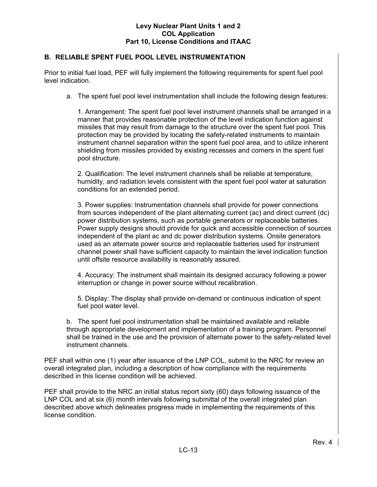# **B. RELIABLE SPENT FUEL POOL LEVEL INSTRUMENTATION**

Prior to initial fuel load, PEF will fully implement the following requirements for spent fuel pool level indication.

a. The spent fuel pool level instrumentation shall include the following design features:

1. Arrangement: The spent fuel pool level instrument channels shall be arranged in a manner that provides reasonable protection of the level indication function against missiles that may result from damage to the structure over the spent fuel pool. This protection may be provided by locating the safety-related instruments to maintain instrument channel separation within the spent fuel pool area, and to utilize inherent shielding from missiles provided by existing recesses and corners in the spent fuel pool structure.

2. Qualification: The level instrument channels shall be reliable at temperature, humidity, and radiation levels consistent with the spent fuel pool water at saturation conditions for an extended period.

3. Power supplies: Instrumentation channels shall provide for power connections from sources independent of the plant alternating current (ac) and direct current (dc) power distribution systems, such as portable generators or replaceable batteries. Power supply designs should provide for quick and accessible connection of sources independent of the plant ac and dc power distribution systems. Onsite generators used as an alternate power source and replaceable batteries used for instrument channel power shall have sufficient capacity to maintain the level indication function until offsite resource availability is reasonably assured.

4. Accuracy: The instrument shall maintain its designed accuracy following a power interruption or change in power source without recalibration.

5. Display: The display shall provide on-demand or continuous indication of spent fuel pool water level.

b. The spent fuel pool instrumentation shall be maintained available and reliable through appropriate development and implementation of a training program. Personnel shall be trained in the use and the provision of alternate power to the safety-related level instrument channels.

PEF shall within one (1) year after issuance of the LNP COL, submit to the NRC for review an overall integrated plan, including a description of how compliance with the requirements described in this license condition will be achieved.

PEF shall provide to the NRC an initial status report sixty (60) days following issuance of the LNP COL and at six (6) month intervals following submittal of the overall integrated plan described above which delineates progress made in implementing the requirements of this license condition.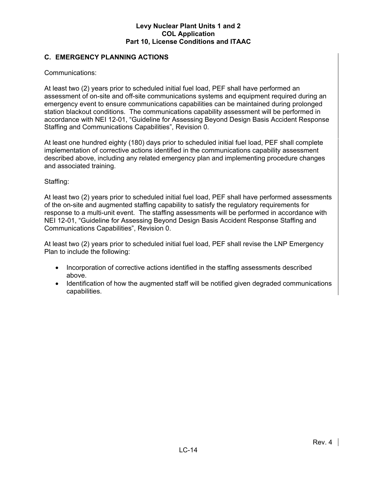# **C. EMERGENCY PLANNING ACTIONS**

Communications:

At least two (2) years prior to scheduled initial fuel load, PEF shall have performed an assessment of on-site and off-site communications systems and equipment required during an emergency event to ensure communications capabilities can be maintained during prolonged station blackout conditions. The communications capability assessment will be performed in accordance with NEI 12-01, "Guideline for Assessing Beyond Design Basis Accident Response Staffing and Communications Capabilities", Revision 0.

At least one hundred eighty (180) days prior to scheduled initial fuel load, PEF shall complete implementation of corrective actions identified in the communications capability assessment described above, including any related emergency plan and implementing procedure changes and associated training.

# Staffing:

At least two (2) years prior to scheduled initial fuel load, PEF shall have performed assessments of the on-site and augmented staffing capability to satisfy the regulatory requirements for response to a multi-unit event. The staffing assessments will be performed in accordance with NEI 12-01, "Guideline for Assessing Beyond Design Basis Accident Response Staffing and Communications Capabilities", Revision 0.

At least two (2) years prior to scheduled initial fuel load, PEF shall revise the LNP Emergency Plan to include the following:

- Incorporation of corrective actions identified in the staffing assessments described above.
- Identification of how the augmented staff will be notified given degraded communications capabilities.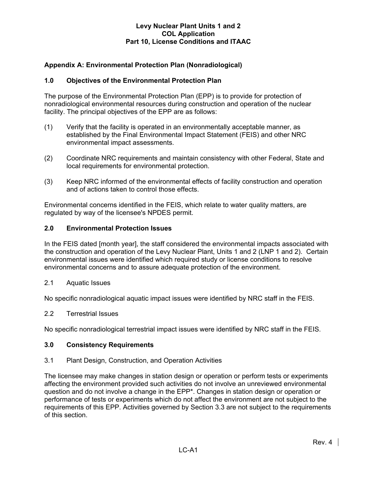# **Appendix A: Environmental Protection Plan (Nonradiological)**

# **1.0 Objectives of the Environmental Protection Plan**

The purpose of the Environmental Protection Plan (EPP) is to provide for protection of nonradiological environmental resources during construction and operation of the nuclear facility. The principal objectives of the EPP are as follows:

- (1) Verify that the facility is operated in an environmentally acceptable manner, as established by the Final Environmental Impact Statement (FEIS) and other NRC environmental impact assessments.
- (2) Coordinate NRC requirements and maintain consistency with other Federal, State and local requirements for environmental protection.
- (3) Keep NRC informed of the environmental effects of facility construction and operation and of actions taken to control those effects.

Environmental concerns identified in the FEIS, which relate to water quality matters, are regulated by way of the licensee's NPDES permit.

#### **2.0 Environmental Protection Issues**

In the FEIS dated [month year], the staff considered the environmental impacts associated with the construction and operation of the Levy Nuclear Plant, Units 1 and 2 (LNP 1 and 2). Certain environmental issues were identified which required study or license conditions to resolve environmental concerns and to assure adequate protection of the environment.

2.1 Aquatic Issues

No specific nonradiological aquatic impact issues were identified by NRC staff in the FEIS.

#### 2.2 Terrestrial Issues

No specific nonradiological terrestrial impact issues were identified by NRC staff in the FEIS.

#### **3.0 Consistency Requirements**

#### 3.1 Plant Design, Construction, and Operation Activities

The licensee may make changes in station design or operation or perform tests or experiments affecting the environment provided such activities do not involve an unreviewed environmental question and do not involve a change in the EPP\*. Changes in station design or operation or performance of tests or experiments which do not affect the environment are not subject to the requirements of this EPP. Activities governed by Section 3.3 are not subject to the requirements of this section.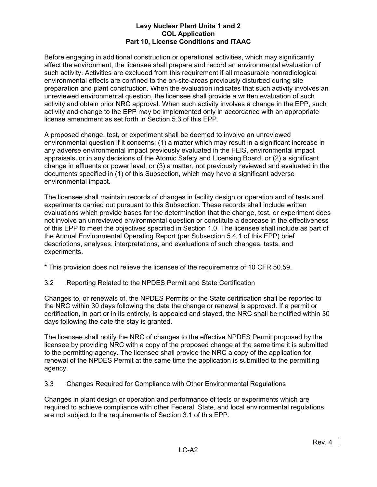Before engaging in additional construction or operational activities, which may significantly affect the environment, the licensee shall prepare and record an environmental evaluation of such activity. Activities are excluded from this requirement if all measurable nonradiological environmental effects are confined to the on-site-areas previously disturbed during site preparation and plant construction. When the evaluation indicates that such activity involves an unreviewed environmental question, the licensee shall provide a written evaluation of such activity and obtain prior NRC approval. When such activity involves a change in the EPP, such activity and change to the EPP may be implemented only in accordance with an appropriate license amendment as set forth in Section 5.3 of this EPP.

A proposed change, test, or experiment shall be deemed to involve an unreviewed environmental question if it concerns: (1) a matter which may result in a significant increase in any adverse environmental impact previously evaluated in the FEIS, environmental impact appraisals, or in any decisions of the Atomic Safety and Licensing Board; or (2) a significant change in effluents or power level; or (3) a matter, not previously reviewed and evaluated in the documents specified in (1) of this Subsection, which may have a significant adverse environmental impact.

The licensee shall maintain records of changes in facility design or operation and of tests and experiments carried out pursuant to this Subsection. These records shall include written evaluations which provide bases for the determination that the change, test, or experiment does not involve an unreviewed environmental question or constitute a decrease in the effectiveness of this EPP to meet the objectives specified in Section 1.0. The licensee shall include as part of the Annual Environmental Operating Report (per Subsection 5.4.1 of this EPP) brief descriptions, analyses, interpretations, and evaluations of such changes, tests, and experiments.

\* This provision does not relieve the licensee of the requirements of 10 CFR 50.59.

3.2 Reporting Related to the NPDES Permit and State Certification

Changes to, or renewals of, the NPDES Permits or the State certification shall be reported to the NRC within 30 days following the date the change or renewal is approved. If a permit or certification, in part or in its entirety, is appealed and stayed, the NRC shall be notified within 30 days following the date the stay is granted.

The licensee shall notify the NRC of changes to the effective NPDES Permit proposed by the licensee by providing NRC with a copy of the proposed change at the same time it is submitted to the permitting agency. The licensee shall provide the NRC a copy of the application for renewal of the NPDES Permit at the same time the application is submitted to the permitting agency.

3.3 Changes Required for Compliance with Other Environmental Regulations

Changes in plant design or operation and performance of tests or experiments which are required to achieve compliance with other Federal, State, and local environmental regulations are not subject to the requirements of Section 3.1 of this EPP.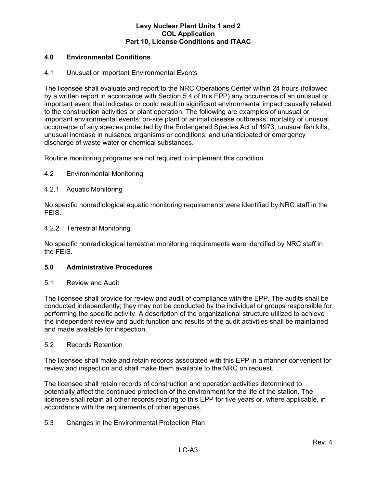# **4.0 Environmental Conditions**

# 4.1 Unusual or Important Environmental Events

The licensee shall evaluate and report to the NRC Operations Center within 24 hours (followed by a written report in accordance with Section 5.4 of this EPP) any occurrence of an unusual or important event that indicates or could result in significant environmental impact causally related to the construction activities or plant operation. The following are examples of unusual or important environmental events: on-site plant or animal disease outbreaks, mortality or unusual occurrence of any species protected by the Endangered Species Act of 1973, unusual fish kills, unusual increase in nuisance organisms or conditions, and unanticipated or emergency discharge of waste water or chemical substances.

Routine monitoring programs are not required to implement this condition.

# 4.2 Environmental Monitoring

# 4.2.1 Aquatic Monitoring

No specific nonradiological aquatic monitoring requirements were identified by NRC staff in the FEIS.

#### 4.2.2 Terrestrial Monitoring

No specific nonradiological terrestrial monitoring requirements were identified by NRC staff in the FEIS.

#### **5.0 Administrative Procedures**

#### 5.1 Review and Audit

The licensee shall provide for review and audit of compliance with the EPP. The audits shall be conducted independently; they may not be conducted by the individual or groups responsible for performing the specific activity. A description of the organizational structure utilized to achieve the independent review and audit function and results of the audit activities shall be maintained and made available for inspection.

#### 5.2 Records Retention

The licensee shall make and retain records associated with this EPP in a manner convenient for review and inspection and shall make them available to the NRC on request.

The licensee shall retain records of construction and operation activities determined to potentially affect the continued protection of the environment for the life of the station. The licensee shall retain all other records relating to this EPP for five years or, where applicable, in accordance with the requirements of other agencies.

# 5.3 Changes in the Environmental Protection Plan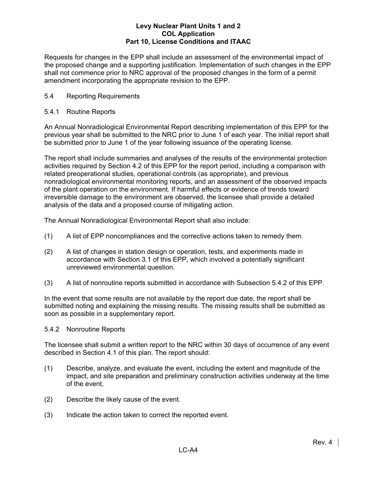Requests for changes in the EPP shall include an assessment of the environmental impact of the proposed change and a supporting justification. Implementation of such changes in the EPP shall not commence prior to NRC approval of the proposed changes in the form of a permit amendment incorporating the appropriate revision to the EPP.

# 5.4 Reporting Requirements

# 5.4.1 Routine Reports

An Annual Nonradiological Environmental Report describing implementation of this EPP for the previous year shall be submitted to the NRC prior to June 1 of each year. The initial report shall be submitted prior to June 1 of the year following issuance of the operating license.

The report shall include summaries and analyses of the results of the environmental protection activities required by Section 4.2 of this EPP for the report period, including a comparison with related preoperational studies, operational controls (as appropriate), and previous nonradiological environmental monitoring reports, and an assessment of the observed impacts of the plant operation on the environment. If harmful effects or evidence of trends toward irreversible damage to the environment are observed, the licensee shall provide a detailed analysis of the data and a proposed course of mitigating action.

The Annual Nonradiological Environmental Report shall also include:

- (1) A list of EPP noncompliances and the corrective actions taken to remedy them.
- (2) A list of changes in station design or operation, tests, and experiments made in accordance with Section 3.1 of this EPP, which involved a potentially significant unreviewed environmental question.
- (3) A list of nonroutine reports submitted in accordance with Subsection 5.4.2 of this EPP.

In the event that some results are not available by the report due date, the report shall be submitted noting and explaining the missing results. The missing results shall be submitted as soon as possible in a supplementary report.

# 5.4.2 Nonroutine Reports

The licensee shall submit a written report to the NRC within 30 days of occurrence of any event described in Section 4.1 of this plan. The report should:

- (1) Describe, analyze, and evaluate the event, including the extent and magnitude of the impact, and site preparation and preliminary construction activities underway at the time of the event,
- (2) Describe the likely cause of the event.
- (3) Indicate the action taken to correct the reported event.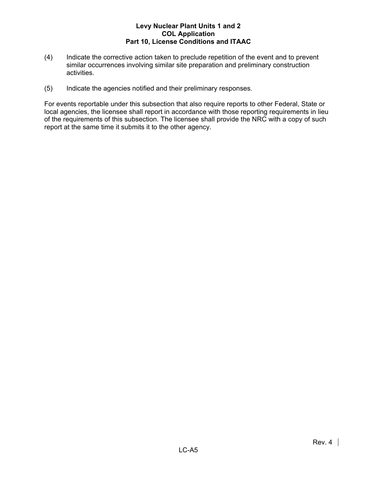- (4) Indicate the corrective action taken to preclude repetition of the event and to prevent similar occurrences involving similar site preparation and preliminary construction activities.
- (5) Indicate the agencies notified and their preliminary responses.

For events reportable under this subsection that also require reports to other Federal, State or local agencies, the licensee shall report in accordance with those reporting requirements in lieu of the requirements of this subsection. The licensee shall provide the NRC with a copy of such report at the same time it submits it to the other agency.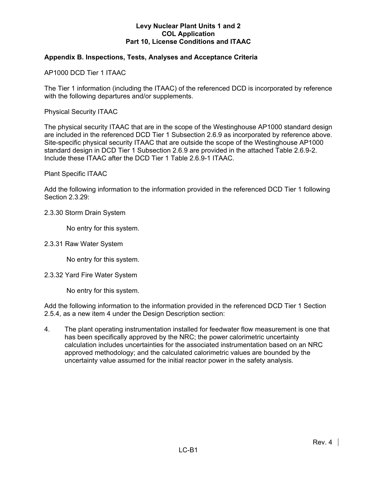# **Appendix B. Inspections, Tests, Analyses and Acceptance Criteria**

AP1000 DCD Tier 1 ITAAC

The Tier 1 information (including the ITAAC) of the referenced DCD is incorporated by reference with the following departures and/or supplements.

Physical Security ITAAC

The physical security ITAAC that are in the scope of the Westinghouse AP1000 standard design are included in the referenced DCD Tier 1 Subsection 2.6.9 as incorporated by reference above. Site-specific physical security ITAAC that are outside the scope of the Westinghouse AP1000 standard design in DCD Tier 1 Subsection 2.6.9 are provided in the attached Table 2.6.9-2. Include these ITAAC after the DCD Tier 1 Table 2.6.9-1 ITAAC.

#### Plant Specific ITAAC

Add the following information to the information provided in the referenced DCD Tier 1 following Section 2.3.29:

#### 2.3.30 Storm Drain System

No entry for this system.

#### 2.3.31 Raw Water System

No entry for this system.

#### 2.3.32 Yard Fire Water System

No entry for this system.

Add the following information to the information provided in the referenced DCD Tier 1 Section 2.5.4, as a new item 4 under the Design Description section:

4. The plant operating instrumentation installed for feedwater flow measurement is one that has been specifically approved by the NRC; the power calorimetric uncertainty calculation includes uncertainties for the associated instrumentation based on an NRC approved methodology; and the calculated calorimetric values are bounded by the uncertainty value assumed for the initial reactor power in the safety analysis.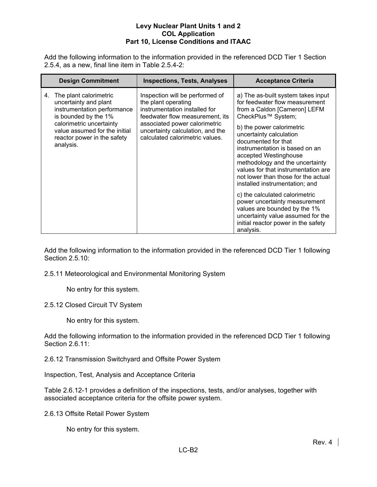Add the following information to the information provided in the referenced DCD Tier 1 Section 2.5.4, as a new, final line item in Table 2.5.4-2:

| <b>Design Commitment</b>                                                                                                                                                                                              | <b>Inspections, Tests, Analyses</b>                                                                                                                                                                                                | <b>Acceptance Criteria</b>                                                                                                                                                                                                                                                                                                                                                                                                                                                                                                                                                                                          |
|-----------------------------------------------------------------------------------------------------------------------------------------------------------------------------------------------------------------------|------------------------------------------------------------------------------------------------------------------------------------------------------------------------------------------------------------------------------------|---------------------------------------------------------------------------------------------------------------------------------------------------------------------------------------------------------------------------------------------------------------------------------------------------------------------------------------------------------------------------------------------------------------------------------------------------------------------------------------------------------------------------------------------------------------------------------------------------------------------|
| The plant calorimetric<br>4.<br>uncertainty and plant<br>instrumentation performance<br>is bounded by the 1%<br>calorimetric uncertainty<br>value assumed for the initial<br>reactor power in the safety<br>analysis. | Inspection will be performed of<br>the plant operating<br>instrumentation installed for<br>feedwater flow measurement, its<br>associated power calorimetric<br>uncertainty calculation, and the<br>calculated calorimetric values. | a) The as-built system takes input<br>for feedwater flow measurement<br>from a Caldon [Cameron] LEFM<br>CheckPlus™ System;<br>b) the power calorimetric<br>uncertainty calculation<br>documented for that<br>instrumentation is based on an<br>accepted Westinghouse<br>methodology and the uncertainty<br>values for that instrumentation are<br>not lower than those for the actual<br>installed instrumentation; and<br>c) the calculated calorimetric<br>power uncertainty measurement<br>values are bounded by the 1%<br>uncertainty value assumed for the<br>initial reactor power in the safety<br>analysis. |

Add the following information to the information provided in the referenced DCD Tier 1 following Section 2.5.10:

2.5.11 Meteorological and Environmental Monitoring System

No entry for this system.

2.5.12 Closed Circuit TV System

No entry for this system.

Add the following information to the information provided in the referenced DCD Tier 1 following Section 2.6.11:

2.6.12 Transmission Switchyard and Offsite Power System

Inspection, Test, Analysis and Acceptance Criteria

Table 2.6.12-1 provides a definition of the inspections, tests, and/or analyses, together with associated acceptance criteria for the offsite power system.

2.6.13 Offsite Retail Power System

No entry for this system.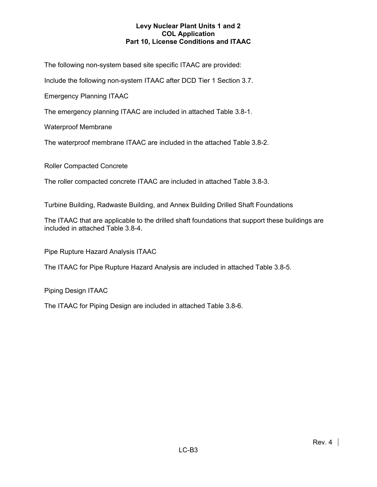The following non-system based site specific ITAAC are provided:

Include the following non-system ITAAC after DCD Tier 1 Section 3.7.

Emergency Planning ITAAC

The emergency planning ITAAC are included in attached Table 3.8-1.

Waterproof Membrane

The waterproof membrane ITAAC are included in the attached Table 3.8-2.

Roller Compacted Concrete

The roller compacted concrete ITAAC are included in attached Table 3.8-3.

Turbine Building, Radwaste Building, and Annex Building Drilled Shaft Foundations

The ITAAC that are applicable to the drilled shaft foundations that support these buildings are included in attached Table 3.8-4.

Pipe Rupture Hazard Analysis ITAAC

The ITAAC for Pipe Rupture Hazard Analysis are included in attached Table 3.8-5.

Piping Design ITAAC

The ITAAC for Piping Design are included in attached Table 3.8-6.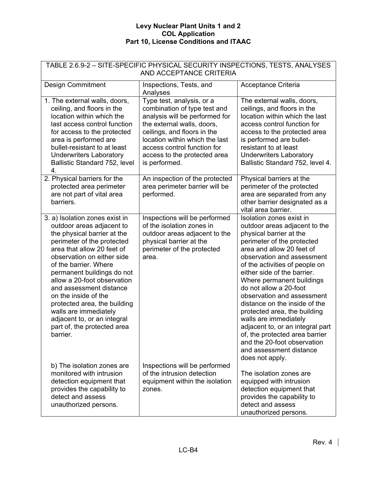| TABLE 2.6.9-2 - SITE-SPECIFIC PHYSICAL SECURITY INSPECTIONS, TESTS, ANALYSES<br>AND ACCEPTANCE CRITERIA                                                                                                                                                                                                                                                                                                                                                          |                                                                                                                                                                                                                                                                            |                                                                                                                                                                                                                                                                                                                                                                                                                                                                                                                                                                                  |  |  |
|------------------------------------------------------------------------------------------------------------------------------------------------------------------------------------------------------------------------------------------------------------------------------------------------------------------------------------------------------------------------------------------------------------------------------------------------------------------|----------------------------------------------------------------------------------------------------------------------------------------------------------------------------------------------------------------------------------------------------------------------------|----------------------------------------------------------------------------------------------------------------------------------------------------------------------------------------------------------------------------------------------------------------------------------------------------------------------------------------------------------------------------------------------------------------------------------------------------------------------------------------------------------------------------------------------------------------------------------|--|--|
| <b>Design Commitment</b>                                                                                                                                                                                                                                                                                                                                                                                                                                         | Inspections, Tests, and<br>Analyses                                                                                                                                                                                                                                        | Acceptance Criteria                                                                                                                                                                                                                                                                                                                                                                                                                                                                                                                                                              |  |  |
| 1. The external walls, doors,<br>ceiling, and floors in the<br>location within which the<br>last access control function<br>for access to the protected<br>area is performed are<br>bullet-resistant to at least<br><b>Underwriters Laboratory</b><br>Ballistic Standard 752, level<br>4.                                                                                                                                                                        | Type test, analysis, or a<br>combination of type test and<br>analysis will be performed for<br>the external walls, doors,<br>ceilings, and floors in the<br>location within which the last<br>access control function for<br>access to the protected area<br>is performed. | The external walls, doors,<br>ceilings, and floors in the<br>location within which the last<br>access control function for<br>access to the protected area<br>is performed are bullet-<br>resistant to at least<br><b>Underwriters Laboratory</b><br>Ballistic Standard 752, level 4.                                                                                                                                                                                                                                                                                            |  |  |
| 2. Physical barriers for the<br>protected area perimeter<br>are not part of vital area<br>barriers.                                                                                                                                                                                                                                                                                                                                                              | An inspection of the protected<br>area perimeter barrier will be<br>performed.                                                                                                                                                                                             | Physical barriers at the<br>perimeter of the protected<br>area are separated from any<br>other barrier designated as a<br>vital area barrier.                                                                                                                                                                                                                                                                                                                                                                                                                                    |  |  |
| 3. a) Isolation zones exist in<br>outdoor areas adjacent to<br>the physical barrier at the<br>perimeter of the protected<br>area that allow 20 feet of<br>observation on either side<br>of the barrier. Where<br>permanent buildings do not<br>allow a 20-foot observation<br>and assessment distance<br>on the inside of the<br>protected area, the building<br>walls are immediately<br>adjacent to, or an integral<br>part of, the protected area<br>barrier. | Inspections will be performed<br>of the isolation zones in<br>outdoor areas adjacent to the<br>physical barrier at the<br>perimeter of the protected<br>area.                                                                                                              | Isolation zones exist in<br>outdoor areas adjacent to the<br>physical barrier at the<br>perimeter of the protected<br>area and allow 20 feet of<br>observation and assessment<br>of the activities of people on<br>either side of the barrier.<br>Where permanent buildings<br>do not allow a 20-foot<br>observation and assessment<br>distance on the inside of the<br>protected area, the building<br>walls are immediately<br>adjacent to, or an integral part<br>of, the protected area barrier<br>and the 20-foot observation<br>and assessment distance<br>does not apply. |  |  |
| b) The isolation zones are<br>monitored with intrusion<br>detection equipment that<br>provides the capability to<br>detect and assess<br>unauthorized persons.                                                                                                                                                                                                                                                                                                   | Inspections will be performed<br>of the intrusion detection<br>equipment within the isolation<br>zones.                                                                                                                                                                    | The isolation zones are<br>equipped with intrusion<br>detection equipment that<br>provides the capability to<br>detect and assess<br>unauthorized persons.                                                                                                                                                                                                                                                                                                                                                                                                                       |  |  |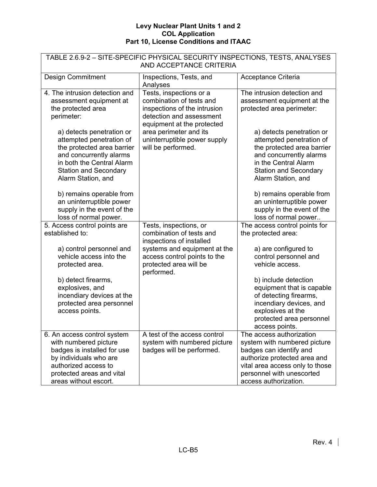| TABLE 2.6.9-2 - SITE-SPECIFIC PHYSICAL SECURITY INSPECTIONS, TESTS, ANALYSES<br>AND ACCEPTANCE CRITERIA                                                                                           |                                                                                                                                               |                                                                                                                                                                                                              |  |
|---------------------------------------------------------------------------------------------------------------------------------------------------------------------------------------------------|-----------------------------------------------------------------------------------------------------------------------------------------------|--------------------------------------------------------------------------------------------------------------------------------------------------------------------------------------------------------------|--|
| <b>Design Commitment</b>                                                                                                                                                                          | Inspections, Tests, and<br>Analyses                                                                                                           | Acceptance Criteria                                                                                                                                                                                          |  |
| 4. The intrusion detection and<br>assessment equipment at<br>the protected area<br>perimeter:                                                                                                     | Tests, inspections or a<br>combination of tests and<br>inspections of the intrusion<br>detection and assessment<br>equipment at the protected | The intrusion detection and<br>assessment equipment at the<br>protected area perimeter:                                                                                                                      |  |
| a) detects penetration or<br>attempted penetration of<br>the protected area barrier<br>and concurrently alarms<br>in both the Central Alarm<br><b>Station and Secondary</b><br>Alarm Station, and | area perimeter and its<br>uninterruptible power supply<br>will be performed.                                                                  | a) detects penetration or<br>attempted penetration of<br>the protected area barrier<br>and concurrently alarms<br>in the Central Alarm<br><b>Station and Secondary</b><br>Alarm Station, and                 |  |
| b) remains operable from<br>an uninterruptible power<br>supply in the event of the<br>loss of normal power.                                                                                       |                                                                                                                                               | b) remains operable from<br>an uninterruptible power<br>supply in the event of the<br>loss of normal power                                                                                                   |  |
| 5. Access control points are<br>established to:                                                                                                                                                   | Tests, inspections, or<br>combination of tests and<br>inspections of installed                                                                | The access control points for<br>the protected area:                                                                                                                                                         |  |
| a) control personnel and<br>vehicle access into the<br>protected area.                                                                                                                            | systems and equipment at the<br>access control points to the<br>protected area will be<br>performed.                                          | a) are configured to<br>control personnel and<br>vehicle access.                                                                                                                                             |  |
| b) detect firearms,<br>explosives, and<br>incendiary devices at the<br>protected area personnel<br>access points.                                                                                 |                                                                                                                                               | b) include detection<br>equipment that is capable<br>of detecting firearms,<br>incendiary devices, and<br>explosives at the<br>protected area personnel<br>access points.                                    |  |
| 6. An access control system<br>with numbered picture<br>badges is installed for use<br>by individuals who are<br>authorized access to<br>protected areas and vital<br>areas without escort.       | A test of the access control<br>system with numbered picture<br>badges will be performed.                                                     | The access authorization<br>system with numbered picture<br>badges can identify and<br>authorize protected area and<br>vital area access only to those<br>personnel with unescorted<br>access authorization. |  |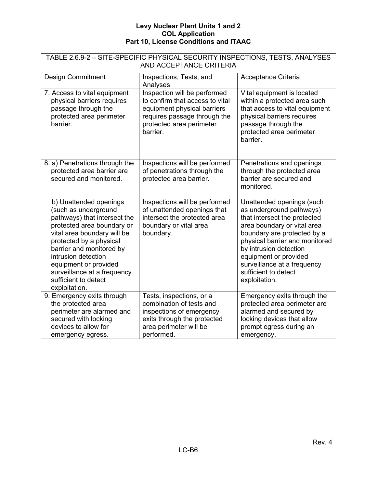| TABLE 2.6.9-2 - SITE-SPECIFIC PHYSICAL SECURITY INSPECTIONS, TESTS, ANALYSES<br>AND ACCEPTANCE CRITERIA                                                                                                                                                                                                                    |                                                                                                                                                                        |                                                                                                                                                                                                                                                                                                                  |  |  |
|----------------------------------------------------------------------------------------------------------------------------------------------------------------------------------------------------------------------------------------------------------------------------------------------------------------------------|------------------------------------------------------------------------------------------------------------------------------------------------------------------------|------------------------------------------------------------------------------------------------------------------------------------------------------------------------------------------------------------------------------------------------------------------------------------------------------------------|--|--|
| <b>Design Commitment</b><br>Inspections, Tests, and<br>Acceptance Criteria<br>Analyses                                                                                                                                                                                                                                     |                                                                                                                                                                        |                                                                                                                                                                                                                                                                                                                  |  |  |
| 7. Access to vital equipment<br>physical barriers requires<br>passage through the<br>protected area perimeter<br>barrier.                                                                                                                                                                                                  | Inspection will be performed<br>to confirm that access to vital<br>equipment physical barriers<br>requires passage through the<br>protected area perimeter<br>barrier. | Vital equipment is located<br>within a protected area such<br>that access to vital equipment<br>physical barriers requires<br>passage through the<br>protected area perimeter<br>barrier.                                                                                                                        |  |  |
| 8. a) Penetrations through the<br>protected area barrier are<br>secured and monitored.                                                                                                                                                                                                                                     | Inspections will be performed<br>of penetrations through the<br>protected area barrier.                                                                                | Penetrations and openings<br>through the protected area<br>barrier are secured and<br>monitored.                                                                                                                                                                                                                 |  |  |
| b) Unattended openings<br>(such as underground<br>pathways) that intersect the<br>protected area boundary or<br>vital area boundary will be<br>protected by a physical<br>barrier and monitored by<br>intrusion detection<br>equipment or provided<br>surveillance at a frequency<br>sufficient to detect<br>exploitation. | Inspections will be performed<br>of unattended openings that<br>intersect the protected area<br>boundary or vital area<br>boundary.                                    | Unattended openings (such<br>as underground pathways)<br>that intersect the protected<br>area boundary or vital area<br>boundary are protected by a<br>physical barrier and monitored<br>by intrusion detection<br>equipment or provided<br>surveillance at a frequency<br>sufficient to detect<br>exploitation. |  |  |
| 9. Emergency exits through<br>the protected area<br>perimeter are alarmed and<br>secured with locking<br>devices to allow for<br>emergency egress.                                                                                                                                                                         | Tests, inspections, or a<br>combination of tests and<br>inspections of emergency<br>exits through the protected<br>area perimeter will be<br>performed.                | Emergency exits through the<br>protected area perimeter are<br>alarmed and secured by<br>locking devices that allow<br>prompt egress during an<br>emergency.                                                                                                                                                     |  |  |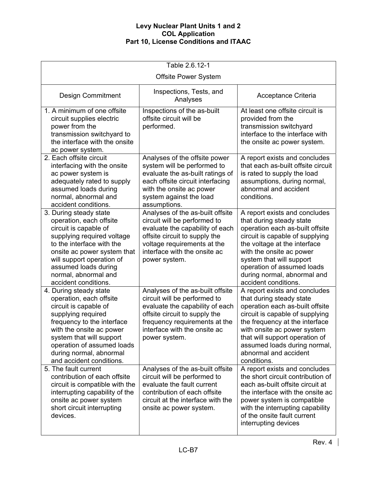| Table 2.6.12-1                                                                                                                                                                                                                                                              |                                                                                                                                                                                                                        |                                                                                                                                                                                                                                                                                                              |  |  |
|-----------------------------------------------------------------------------------------------------------------------------------------------------------------------------------------------------------------------------------------------------------------------------|------------------------------------------------------------------------------------------------------------------------------------------------------------------------------------------------------------------------|--------------------------------------------------------------------------------------------------------------------------------------------------------------------------------------------------------------------------------------------------------------------------------------------------------------|--|--|
|                                                                                                                                                                                                                                                                             | <b>Offsite Power System</b>                                                                                                                                                                                            |                                                                                                                                                                                                                                                                                                              |  |  |
| Inspections, Tests, and<br><b>Design Commitment</b><br>Acceptance Criteria<br>Analyses                                                                                                                                                                                      |                                                                                                                                                                                                                        |                                                                                                                                                                                                                                                                                                              |  |  |
| 1. A minimum of one offsite<br>circuit supplies electric<br>power from the<br>transmission switchyard to<br>the interface with the onsite<br>ac power system.                                                                                                               | Inspections of the as-built<br>offsite circuit will be<br>performed.                                                                                                                                                   | At least one offsite circuit is<br>provided from the<br>transmission switchyard<br>interface to the interface with<br>the onsite ac power system.                                                                                                                                                            |  |  |
| 2. Each offsite circuit<br>interfacing with the onsite<br>ac power system is<br>adequately rated to supply<br>assumed loads during<br>normal, abnormal and<br>accident conditions.                                                                                          | Analyses of the offsite power<br>system will be performed to<br>evaluate the as-built ratings of<br>each offsite circuit interfacing<br>with the onsite ac power<br>system against the load<br>assumptions.            | A report exists and concludes<br>that each as-built offsite circuit<br>is rated to supply the load<br>assumptions, during normal,<br>abnormal and accident<br>conditions.                                                                                                                                    |  |  |
| 3. During steady state<br>operation, each offsite<br>circuit is capable of<br>supplying required voltage<br>to the interface with the<br>onsite ac power system that<br>will support operation of<br>assumed loads during<br>normal, abnormal and<br>accident conditions.   | Analyses of the as-built offsite<br>circuit will be performed to<br>evaluate the capability of each<br>offsite circuit to supply the<br>voltage requirements at the<br>interface with the onsite ac<br>power system.   | A report exists and concludes<br>that during steady state<br>operation each as-built offsite<br>circuit is capable of supplying<br>the voltage at the interface<br>with the onsite ac power<br>system that will support<br>operation of assumed loads<br>during normal, abnormal and<br>accident conditions. |  |  |
| 4. During steady state<br>operation, each offsite<br>circuit is capable of<br>supplying required<br>frequency to the interface<br>with the onsite ac power<br>system that will support<br>operation of assumed loads<br>during normal, abnormal<br>and accident conditions. | Analyses of the as-built offsite<br>circuit will be performed to<br>evaluate the capability of each<br>offsite circuit to supply the<br>frequency requirements at the<br>interface with the onsite ac<br>power system. | A report exists and concludes<br>that during steady state<br>operation each as-built offsite<br>circuit is capable of supplying<br>the frequency at the interface<br>with onsite ac power system<br>that will support operation of<br>assumed loads during normal,<br>abnormal and accident<br>conditions.   |  |  |
| 5. The fault current<br>contribution of each offsite<br>circuit is compatible with the<br>interrupting capability of the<br>onsite ac power system<br>short circuit interrupting<br>devices.                                                                                | Analyses of the as-built offsite<br>circuit will be performed to<br>evaluate the fault current<br>contribution of each offsite<br>circuit at the interface with the<br>onsite ac power system.                         | A report exists and concludes<br>the short circuit contribution of<br>each as-built offsite circuit at<br>the interface with the onsite ac<br>power system is compatible<br>with the interrupting capability<br>of the onsite fault current<br>interrupting devices                                          |  |  |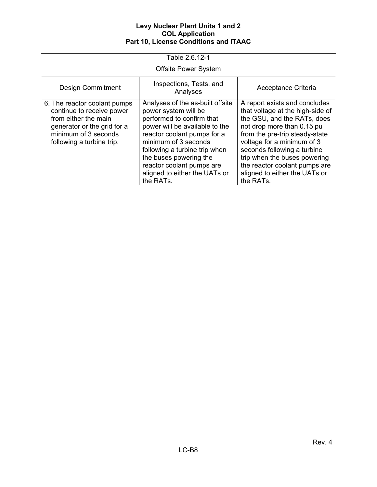| Table 2.6.12-1                                                                                                                                                        |                                                                                                                                                                                                                                                                                                                      |                                                                                                                                                                                                                                                                                                                                              |  |  |
|-----------------------------------------------------------------------------------------------------------------------------------------------------------------------|----------------------------------------------------------------------------------------------------------------------------------------------------------------------------------------------------------------------------------------------------------------------------------------------------------------------|----------------------------------------------------------------------------------------------------------------------------------------------------------------------------------------------------------------------------------------------------------------------------------------------------------------------------------------------|--|--|
|                                                                                                                                                                       | <b>Offsite Power System</b>                                                                                                                                                                                                                                                                                          |                                                                                                                                                                                                                                                                                                                                              |  |  |
| <b>Design Commitment</b>                                                                                                                                              | Acceptance Criteria                                                                                                                                                                                                                                                                                                  |                                                                                                                                                                                                                                                                                                                                              |  |  |
| 6. The reactor coolant pumps<br>continue to receive power<br>from either the main<br>generator or the grid for a<br>minimum of 3 seconds<br>following a turbine trip. | Analyses of the as-built offsite<br>power system will be<br>performed to confirm that<br>power will be available to the<br>reactor coolant pumps for a<br>minimum of 3 seconds<br>following a turbine trip when<br>the buses powering the<br>reactor coolant pumps are<br>aligned to either the UATs or<br>the RATs. | A report exists and concludes<br>that voltage at the high-side of<br>the GSU, and the RATs, does<br>not drop more than 0.15 pu<br>from the pre-trip steady-state<br>voltage for a minimum of 3<br>seconds following a turbine<br>trip when the buses powering<br>the reactor coolant pumps are<br>aligned to either the UATs or<br>the RATs. |  |  |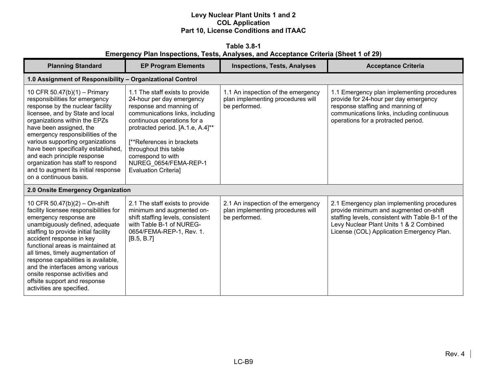**Table 3.8-1 Emergency Plan Inspections, Tests, Analyses, and Acceptance Criteria (Sheet 1 of 29)** 

| <b>Planning Standard</b>                                                                                                                                                                                                                                                                                                                                                                                                                                     | <b>EP Program Elements</b>                                                                                                                                                                                                                                                                                                          | <b>Inspections, Tests, Analyses</b>                                                      | <b>Acceptance Criteria</b>                                                                                                                                                                                                        |  |  |
|--------------------------------------------------------------------------------------------------------------------------------------------------------------------------------------------------------------------------------------------------------------------------------------------------------------------------------------------------------------------------------------------------------------------------------------------------------------|-------------------------------------------------------------------------------------------------------------------------------------------------------------------------------------------------------------------------------------------------------------------------------------------------------------------------------------|------------------------------------------------------------------------------------------|-----------------------------------------------------------------------------------------------------------------------------------------------------------------------------------------------------------------------------------|--|--|
|                                                                                                                                                                                                                                                                                                                                                                                                                                                              | 1.0 Assignment of Responsibility - Organizational Control                                                                                                                                                                                                                                                                           |                                                                                          |                                                                                                                                                                                                                                   |  |  |
| 10 CFR 50.47(b)(1) - Primary<br>responsibilities for emergency<br>response by the nuclear facility<br>licensee, and by State and local<br>organizations within the EPZs<br>have been assigned, the<br>emergency responsibilities of the<br>various supporting organizations<br>have been specifically established,<br>and each principle response<br>organization has staff to respond<br>and to augment its initial response<br>on a continuous basis.      | 1.1 The staff exists to provide<br>24-hour per day emergency<br>response and manning of<br>communications links, including<br>continuous operations for a<br>protracted period. [A.1.e, A.4]**<br>[**References in brackets]<br>throughout this table<br>correspond to with<br>NUREG 0654/FEMA-REP-1<br><b>Evaluation Criterial</b> | 1.1 An inspection of the emergency<br>plan implementing procedures will<br>be performed. | 1.1 Emergency plan implementing procedures<br>provide for 24-hour per day emergency<br>response staffing and manning of<br>communications links, including continuous<br>operations for a protracted period.                      |  |  |
| 2.0 Onsite Emergency Organization                                                                                                                                                                                                                                                                                                                                                                                                                            |                                                                                                                                                                                                                                                                                                                                     |                                                                                          |                                                                                                                                                                                                                                   |  |  |
| 10 CFR 50.47(b)(2) - On-shift<br>facility licensee responsibilities for<br>emergency response are<br>unambiguously defined, adequate<br>staffing to provide initial facility<br>accident response in key<br>functional areas is maintained at<br>all times, timely augmentation of<br>response capabilities is available,<br>and the interfaces among various<br>onsite response activities and<br>offsite support and response<br>activities are specified. | 2.1 The staff exists to provide<br>minimum and augmented on-<br>shift staffing levels, consistent<br>with Table B-1 of NUREG-<br>0654/FEMA-REP-1, Rev. 1.<br>[B.5, B.7]                                                                                                                                                             | 2.1 An inspection of the emergency<br>plan implementing procedures will<br>be performed. | 2.1 Emergency plan implementing procedures<br>provide minimum and augmented on-shift<br>staffing levels, consistent with Table B-1 of the<br>Levy Nuclear Plant Units 1 & 2 Combined<br>License (COL) Application Emergency Plan. |  |  |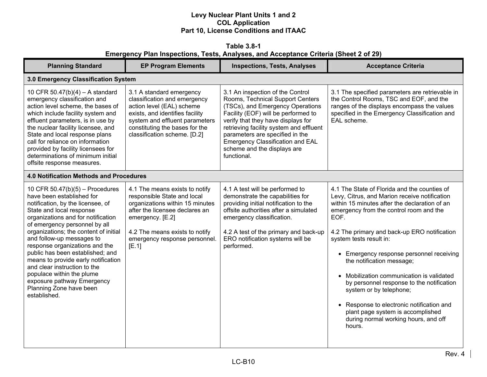**Table 3.8-1 Emergency Plan Inspections, Tests, Analyses, and Acceptance Criteria (Sheet 2 of 29)** 

| <b>Planning Standard</b>                                                                                                                                                                                                                                                                                                                                                                                                                                                                                                        | <b>EP Program Elements</b>                                                                                                                                                                                                         | <b>Inspections, Tests, Analyses</b>                                                                                                                                                                                                                                                                                                                   | <b>Acceptance Criteria</b>                                                                                                                                                                                                                                                                                                                                                                                                                                                                                                                                                                                     |
|---------------------------------------------------------------------------------------------------------------------------------------------------------------------------------------------------------------------------------------------------------------------------------------------------------------------------------------------------------------------------------------------------------------------------------------------------------------------------------------------------------------------------------|------------------------------------------------------------------------------------------------------------------------------------------------------------------------------------------------------------------------------------|-------------------------------------------------------------------------------------------------------------------------------------------------------------------------------------------------------------------------------------------------------------------------------------------------------------------------------------------------------|----------------------------------------------------------------------------------------------------------------------------------------------------------------------------------------------------------------------------------------------------------------------------------------------------------------------------------------------------------------------------------------------------------------------------------------------------------------------------------------------------------------------------------------------------------------------------------------------------------------|
| 3.0 Emergency Classification System                                                                                                                                                                                                                                                                                                                                                                                                                                                                                             |                                                                                                                                                                                                                                    |                                                                                                                                                                                                                                                                                                                                                       |                                                                                                                                                                                                                                                                                                                                                                                                                                                                                                                                                                                                                |
| 10 CFR 50.47(b)(4) - A standard<br>emergency classification and<br>action level scheme, the bases of<br>which include facility system and<br>effluent parameters, is in use by<br>the nuclear facility licensee, and<br>State and local response plans<br>call for reliance on information<br>provided by facility licensees for<br>determinations of minimum initial<br>offsite response measures.                                                                                                                             | 3.1 A standard emergency<br>classification and emergency<br>action level (EAL) scheme<br>exists, and identifies facility<br>system and effluent parameters<br>constituting the bases for the<br>classification scheme. [D.2]       | 3.1 An inspection of the Control<br>Rooms, Technical Support Centers<br>(TSCs), and Emergency Operations<br>Facility (EOF) will be performed to<br>verify that they have displays for<br>retrieving facility system and effluent<br>parameters are specified in the<br>Emergency Classification and EAL<br>scheme and the displays are<br>functional. | 3.1 The specified parameters are retrievable in<br>the Control Rooms, TSC and EOF, and the<br>ranges of the displays encompass the values<br>specified in the Emergency Classification and<br>EAL scheme.                                                                                                                                                                                                                                                                                                                                                                                                      |
| <b>4.0 Notification Methods and Procedures</b>                                                                                                                                                                                                                                                                                                                                                                                                                                                                                  |                                                                                                                                                                                                                                    |                                                                                                                                                                                                                                                                                                                                                       |                                                                                                                                                                                                                                                                                                                                                                                                                                                                                                                                                                                                                |
| 10 CFR $50.47(b)(5)$ – Procedures<br>have been established for<br>notification, by the licensee, of<br>State and local response<br>organizations and for notification<br>of emergency personnel by all<br>organizations; the content of initial<br>and follow-up messages to<br>response organizations and the<br>public has been established; and<br>means to provide early notification<br>and clear instruction to the<br>populace within the plume<br>exposure pathway Emergency<br>Planning Zone have been<br>established. | 4.1 The means exists to notify<br>responsible State and local<br>organizations within 15 minutes<br>after the licensee declares an<br>emergency. [E.2]<br>4.2 The means exists to notify<br>emergency response personnel.<br>[E.1] | 4.1 A test will be performed to<br>demonstrate the capabilities for<br>providing initial notification to the<br>offsite authorities after a simulated<br>emergency classification.<br>4.2 A test of the primary and back-up<br>ERO notification systems will be<br>performed.                                                                         | 4.1 The State of Florida and the counties of<br>Levy, Citrus, and Marion receive notification<br>within 15 minutes after the declaration of an<br>emergency from the control room and the<br>EOF.<br>4.2 The primary and back-up ERO notification<br>system tests result in:<br>• Emergency response personnel receiving<br>the notification message;<br>• Mobilization communication is validated<br>by personnel response to the notification<br>system or by telephone;<br>• Response to electronic notification and<br>plant page system is accomplished<br>during normal working hours, and off<br>hours. |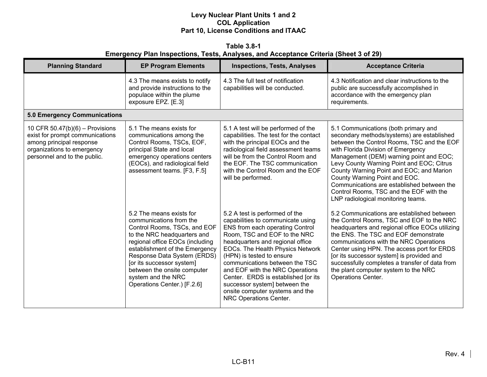**Table 3.8-1 Emergency Plan Inspections, Tests, Analyses, and Acceptance Criteria (Sheet 3 of 29)** 

| <b>Planning Standard</b>                                                                                                                                       | <b>EP Program Elements</b>                                                                                                                                                                                                                                                                                                              | <b>Inspections, Tests, Analyses</b>                                                                                                                                                                                                                                                                                                                                                                                                                   | <b>Acceptance Criteria</b>                                                                                                                                                                                                                                                                                                                                                                                                                                                 |
|----------------------------------------------------------------------------------------------------------------------------------------------------------------|-----------------------------------------------------------------------------------------------------------------------------------------------------------------------------------------------------------------------------------------------------------------------------------------------------------------------------------------|-------------------------------------------------------------------------------------------------------------------------------------------------------------------------------------------------------------------------------------------------------------------------------------------------------------------------------------------------------------------------------------------------------------------------------------------------------|----------------------------------------------------------------------------------------------------------------------------------------------------------------------------------------------------------------------------------------------------------------------------------------------------------------------------------------------------------------------------------------------------------------------------------------------------------------------------|
|                                                                                                                                                                | 4.3 The means exists to notify<br>and provide instructions to the<br>populace within the plume<br>exposure EPZ. [E.3]                                                                                                                                                                                                                   | 4.3 The full test of notification<br>capabilities will be conducted.                                                                                                                                                                                                                                                                                                                                                                                  | 4.3 Notification and clear instructions to the<br>public are successfully accomplished in<br>accordance with the emergency plan<br>requirements.                                                                                                                                                                                                                                                                                                                           |
| <b>5.0 Emergency Communications</b>                                                                                                                            |                                                                                                                                                                                                                                                                                                                                         |                                                                                                                                                                                                                                                                                                                                                                                                                                                       |                                                                                                                                                                                                                                                                                                                                                                                                                                                                            |
| 10 CFR $50.47(b)(6)$ – Provisions<br>exist for prompt communications<br>among principal response<br>organizations to emergency<br>personnel and to the public. | 5.1 The means exists for<br>communications among the<br>Control Rooms, TSCs, EOF,<br>principal State and local<br>emergency operations centers<br>(EOCs), and radiological field<br>assessment teams. [F3, F.5]                                                                                                                         | 5.1 A test will be performed of the<br>capabilities. The test for the contact<br>with the principal EOCs and the<br>radiological field assessment teams<br>will be from the Control Room and<br>the EOF. The TSC communication<br>with the Control Room and the EOF<br>will be performed.                                                                                                                                                             | 5.1 Communications (both primary and<br>secondary methods/systems) are established<br>between the Control Rooms, TSC and the EOF<br>with Florida Division of Emergency<br>Management (DEM) warning point and EOC;<br>Levy County Warning Point and EOC; Citrus<br>County Warning Point and EOC; and Marion<br>County Warning Point and EOC.<br>Communications are established between the<br>Control Rooms, TSC and the EOF with the<br>LNP radiological monitoring teams. |
|                                                                                                                                                                | 5.2 The means exists for<br>communications from the<br>Control Rooms, TSCs, and EOF<br>to the NRC headquarters and<br>regional office EOCs (including<br>establishment of the Emergency<br>Response Data System (ERDS)<br>[or its successor system]<br>between the onsite computer<br>system and the NRC<br>Operations Center.) [F.2.6] | 5.2 A test is performed of the<br>capabilities to communicate using<br>ENS from each operating Control<br>Room, TSC and EOF to the NRC<br>headquarters and regional office<br>EOCs. The Health Physics Network<br>(HPN) is tested to ensure<br>communications between the TSC<br>and EOF with the NRC Operations<br>Center. ERDS is established [or its<br>successor system] between the<br>onsite computer systems and the<br>NRC Operations Center. | 5.2 Communications are established between<br>the Control Rooms, TSC and EOF to the NRC<br>headquarters and regional office EOCs utilizing<br>the ENS. The TSC and EOF demonstrate<br>communications with the NRC Operations<br>Center using HPN. The access port for ERDS<br>[or its successor system] is provided and<br>successfully completes a transfer of data from<br>the plant computer system to the NRC<br>Operations Center.                                    |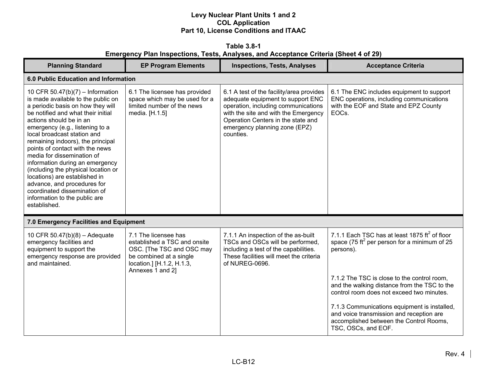**Table 3.8-1 Emergency Plan Inspections, Tests, Analyses, and Acceptance Criteria (Sheet 4 of 29)** 

| <b>Planning Standard</b>                                                                                                                                                                                                                                                                                                                                                                                                                                                                                                                                                        | <b>EP Program Elements</b>                                                                                                                                    | <b>Inspections, Tests, Analyses</b>                                                                                                                                                                                                              | <b>Acceptance Criteria</b>                                                                                                                                 |
|---------------------------------------------------------------------------------------------------------------------------------------------------------------------------------------------------------------------------------------------------------------------------------------------------------------------------------------------------------------------------------------------------------------------------------------------------------------------------------------------------------------------------------------------------------------------------------|---------------------------------------------------------------------------------------------------------------------------------------------------------------|--------------------------------------------------------------------------------------------------------------------------------------------------------------------------------------------------------------------------------------------------|------------------------------------------------------------------------------------------------------------------------------------------------------------|
| 6.0 Public Education and Information                                                                                                                                                                                                                                                                                                                                                                                                                                                                                                                                            |                                                                                                                                                               |                                                                                                                                                                                                                                                  |                                                                                                                                                            |
| 10 CFR 50.47(b)(7) - Information<br>is made available to the public on<br>a periodic basis on how they will<br>be notified and what their initial<br>actions should be in an<br>emergency (e.g., listening to a<br>local broadcast station and<br>remaining indoors), the principal<br>points of contact with the news<br>media for dissemination of<br>information during an emergency<br>(including the physical location or<br>locations) are established in<br>advance, and procedures for<br>coordinated dissemination of<br>information to the public are<br>established. | 6.1 The licensee has provided<br>space which may be used for a<br>limited number of the news<br>media. [H.1.5]                                                | 6.1 A test of the facility/area provides<br>adequate equipment to support ENC<br>operation, including communications<br>with the site and with the Emergency<br>Operation Centers in the state and<br>emergency planning zone (EPZ)<br>counties. | 6.1 The ENC includes equipment to support<br>ENC operations, including communications<br>with the EOF and State and EPZ County<br>EOC <sub>s</sub> .       |
| 7.0 Emergency Facilities and Equipment                                                                                                                                                                                                                                                                                                                                                                                                                                                                                                                                          |                                                                                                                                                               |                                                                                                                                                                                                                                                  |                                                                                                                                                            |
| 10 CFR 50.47(b)(8) - Adequate<br>emergency facilities and<br>equipment to support the<br>emergency response are provided<br>and maintained.                                                                                                                                                                                                                                                                                                                                                                                                                                     | 7.1 The licensee has<br>established a TSC and onsite<br>OSC. [The TSC and OSC may<br>be combined at a single<br>location.] [H.1.2, H.1.3,<br>Annexes 1 and 2] | 7.1.1 An inspection of the as-built<br>TSCs and OSCs will be performed,<br>including a test of the capabilities.<br>These facilities will meet the criteria<br>of NUREG-0696.                                                                    | 7.1.1 Each TSC has at least 1875 $\text{ft}^2$ of floor<br>space (75 ft <sup>2</sup> per person for a minimum of 25<br>persons).                           |
|                                                                                                                                                                                                                                                                                                                                                                                                                                                                                                                                                                                 |                                                                                                                                                               |                                                                                                                                                                                                                                                  | 7.1.2 The TSC is close to the control room,<br>and the walking distance from the TSC to the<br>control room does not exceed two minutes.                   |
|                                                                                                                                                                                                                                                                                                                                                                                                                                                                                                                                                                                 |                                                                                                                                                               |                                                                                                                                                                                                                                                  | 7.1.3 Communications equipment is installed,<br>and voice transmission and reception are<br>accomplished between the Control Rooms,<br>TSC, OSCs, and EOF. |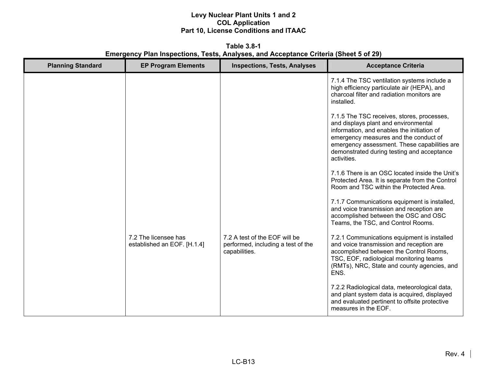**Table 3.8-1 Emergency Plan Inspections, Tests, Analyses, and Acceptance Criteria (Sheet 5 of 29)** 

| <b>Planning Standard</b> | <b>EP Program Elements</b>                          | <b>Inspections, Tests, Analyses</b>                                                  | <b>Acceptance Criteria</b>                                                                                                                                                                                                                                                             |
|--------------------------|-----------------------------------------------------|--------------------------------------------------------------------------------------|----------------------------------------------------------------------------------------------------------------------------------------------------------------------------------------------------------------------------------------------------------------------------------------|
|                          |                                                     |                                                                                      | 7.1.4 The TSC ventilation systems include a<br>high efficiency particulate air (HEPA), and<br>charcoal filter and radiation monitors are<br>installed.                                                                                                                                 |
|                          |                                                     |                                                                                      | 7.1.5 The TSC receives, stores, processes,<br>and displays plant and environmental<br>information, and enables the initiation of<br>emergency measures and the conduct of<br>emergency assessment. These capabilities are<br>demonstrated during testing and acceptance<br>activities. |
|                          |                                                     |                                                                                      | 7.1.6 There is an OSC located inside the Unit's<br>Protected Area. It is separate from the Control<br>Room and TSC within the Protected Area.                                                                                                                                          |
|                          |                                                     |                                                                                      | 7.1.7 Communications equipment is installed,<br>and voice transmission and reception are<br>accomplished between the OSC and OSC<br>Teams, the TSC, and Control Rooms.                                                                                                                 |
|                          | 7.2 The licensee has<br>established an EOF. [H.1.4] | 7.2 A test of the EOF will be<br>performed, including a test of the<br>capabilities. | 7.2.1 Communications equipment is installed<br>and voice transmission and reception are<br>accomplished between the Control Rooms,<br>TSC, EOF, radiological monitoring teams<br>(RMTs), NRC, State and county agencies, and<br>ENS.                                                   |
|                          |                                                     |                                                                                      | 7.2.2 Radiological data, meteorological data,<br>and plant system data is acquired, displayed<br>and evaluated pertinent to offsite protective<br>measures in the EOF.                                                                                                                 |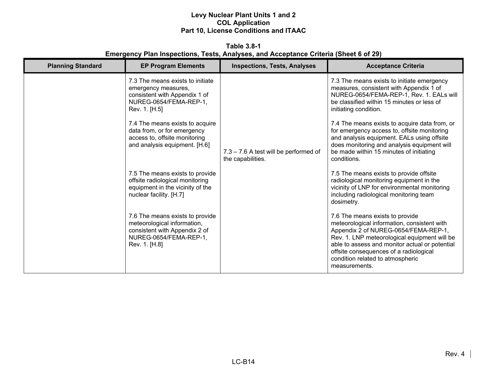**Table 3.8-1 Emergency Plan Inspections, Tests, Analyses, and Acceptance Criteria (Sheet 6 of 29)** 

| <b>Planning Standard</b> | <b>EP Program Elements</b>                                                                                                                                                                                                                                              | <b>Inspections, Tests, Analyses</b>                        | <b>Acceptance Criteria</b>                                                                                                                                                                                                                                                                                                                                                                                                                                      |
|--------------------------|-------------------------------------------------------------------------------------------------------------------------------------------------------------------------------------------------------------------------------------------------------------------------|------------------------------------------------------------|-----------------------------------------------------------------------------------------------------------------------------------------------------------------------------------------------------------------------------------------------------------------------------------------------------------------------------------------------------------------------------------------------------------------------------------------------------------------|
|                          | 7.3 The means exists to initiate<br>emergency measures,<br>consistent with Appendix 1 of<br>NUREG-0654/FEMA-REP-1,<br>Rev. 1. [H.5]<br>7.4 The means exists to acquire<br>data from, or for emergency<br>access to, offsite monitoring<br>and analysis equipment. [H.6] | 7.3 - 7.6 A test will be performed of<br>the capabilities. | 7.3 The means exists to initiate emergency<br>measures, consistent with Appendix 1 of<br>NUREG-0654/FEMA-REP-1, Rev. 1. EALs will<br>be classified within 15 minutes or less of<br>initiating condition.<br>7.4 The means exists to acquire data from, or<br>for emergency access to, offsite monitoring<br>and analysis equipment. EALs using offsite<br>does monitoring and analysis equipment will<br>be made within 15 minutes of initiating<br>conditions. |
|                          | 7.5 The means exists to provide<br>offsite radiological monitoring<br>equipment in the vicinity of the<br>nuclear facility. [H.7]                                                                                                                                       |                                                            | 7.5 The means exists to provide offsite<br>radiological monitoring equipment in the<br>vicinity of LNP for environmental monitoring<br>including radiological monitoring team<br>dosimetry.                                                                                                                                                                                                                                                                     |
|                          | 7.6 The means exists to provide<br>meteorological information,<br>consistent with Appendix 2 of<br>NUREG-0654/FEMA-REP-1,<br>Rev. 1. [H.8]                                                                                                                              |                                                            | 7.6 The means exists to provide<br>meteorological information, consistent with<br>Appendix 2 of NUREG-0654/FEMA-REP-1,<br>Rev. 1. LNP meteorological equipment will be<br>able to assess and monitor actual or potential<br>offsite consequences of a radiological<br>condition related to atmospheric<br>measurements.                                                                                                                                         |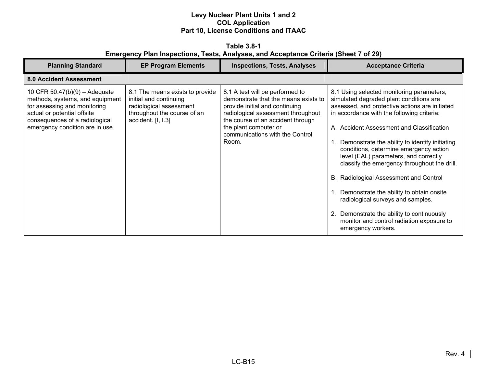**Table 3.8-1 Emergency Plan Inspections, Tests, Analyses, and Acceptance Criteria (Sheet 7 of 29)** 

| <b>Planning Standard</b>                                                                                                                                                                               | <b>EP Program Elements</b>                                                                                                                | <b>Inspections, Tests, Analyses</b>                                                                                                                                                                                                                       | <b>Acceptance Criteria</b>                                                                                                                                                                                                                                                                                                                                                                                                                                                                                                                                                                                                                                         |
|--------------------------------------------------------------------------------------------------------------------------------------------------------------------------------------------------------|-------------------------------------------------------------------------------------------------------------------------------------------|-----------------------------------------------------------------------------------------------------------------------------------------------------------------------------------------------------------------------------------------------------------|--------------------------------------------------------------------------------------------------------------------------------------------------------------------------------------------------------------------------------------------------------------------------------------------------------------------------------------------------------------------------------------------------------------------------------------------------------------------------------------------------------------------------------------------------------------------------------------------------------------------------------------------------------------------|
| <b>8.0 Accident Assessment</b>                                                                                                                                                                         |                                                                                                                                           |                                                                                                                                                                                                                                                           |                                                                                                                                                                                                                                                                                                                                                                                                                                                                                                                                                                                                                                                                    |
| 10 CFR $50.47(b)(9) -$ Adequate<br>methods, systems, and equipment<br>for assessing and monitoring<br>actual or potential offsite<br>consequences of a radiological<br>emergency condition are in use. | 8.1 The means exists to provide<br>initial and continuing<br>radiological assessment<br>throughout the course of an<br>accident. [I, I.3] | 8.1 A test will be performed to<br>demonstrate that the means exists to<br>provide initial and continuing<br>radiological assessment throughout<br>the course of an accident through<br>the plant computer or<br>communications with the Control<br>Room. | 8.1 Using selected monitoring parameters,<br>simulated degraded plant conditions are<br>assessed, and protective actions are initiated<br>in accordance with the following criteria:<br>A. Accident Assessment and Classification<br>Demonstrate the ability to identify initiating<br>conditions, determine emergency action<br>level (EAL) parameters, and correctly<br>classify the emergency throughout the drill.<br>B. Radiological Assessment and Control<br>Demonstrate the ability to obtain onsite<br>radiological surveys and samples.<br>2. Demonstrate the ability to continuously<br>monitor and control radiation exposure to<br>emergency workers. |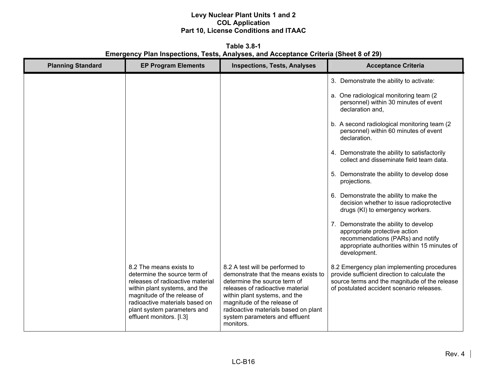**Table 3.8-1 Emergency Plan Inspections, Tests, Analyses, and Acceptance Criteria (Sheet 8 of 29)** 

| <b>Planning Standard</b> | <b>EP Program Elements</b>                                                                                                                                                                                                                               | <b>Inspections, Tests, Analyses</b>                                                                                                                                                                                                                                                                | <b>Acceptance Criteria</b>                                                                                                                                                                |
|--------------------------|----------------------------------------------------------------------------------------------------------------------------------------------------------------------------------------------------------------------------------------------------------|----------------------------------------------------------------------------------------------------------------------------------------------------------------------------------------------------------------------------------------------------------------------------------------------------|-------------------------------------------------------------------------------------------------------------------------------------------------------------------------------------------|
|                          |                                                                                                                                                                                                                                                          |                                                                                                                                                                                                                                                                                                    | 3. Demonstrate the ability to activate:                                                                                                                                                   |
|                          |                                                                                                                                                                                                                                                          |                                                                                                                                                                                                                                                                                                    | a. One radiological monitoring team (2)<br>personnel) within 30 minutes of event<br>declaration and.                                                                                      |
|                          |                                                                                                                                                                                                                                                          |                                                                                                                                                                                                                                                                                                    | b. A second radiological monitoring team (2)<br>personnel) within 60 minutes of event<br>declaration.                                                                                     |
|                          |                                                                                                                                                                                                                                                          |                                                                                                                                                                                                                                                                                                    | 4. Demonstrate the ability to satisfactorily<br>collect and disseminate field team data.                                                                                                  |
|                          |                                                                                                                                                                                                                                                          |                                                                                                                                                                                                                                                                                                    | 5. Demonstrate the ability to develop dose<br>projections.                                                                                                                                |
|                          |                                                                                                                                                                                                                                                          |                                                                                                                                                                                                                                                                                                    | 6. Demonstrate the ability to make the<br>decision whether to issue radioprotective<br>drugs (KI) to emergency workers.                                                                   |
|                          |                                                                                                                                                                                                                                                          |                                                                                                                                                                                                                                                                                                    | 7. Demonstrate the ability to develop<br>appropriate protective action<br>recommendations (PARs) and notify<br>appropriate authorities within 15 minutes of<br>development.               |
|                          | 8.2 The means exists to<br>determine the source term of<br>releases of radioactive material<br>within plant systems, and the<br>magnitude of the release of<br>radioactive materials based on<br>plant system parameters and<br>effluent monitors. [I.3] | 8.2 A test will be performed to<br>demonstrate that the means exists to<br>determine the source term of<br>releases of radioactive material<br>within plant systems, and the<br>magnitude of the release of<br>radioactive materials based on plant<br>system parameters and effluent<br>monitors. | 8.2 Emergency plan implementing procedures<br>provide sufficient direction to calculate the<br>source terms and the magnitude of the release<br>of postulated accident scenario releases. |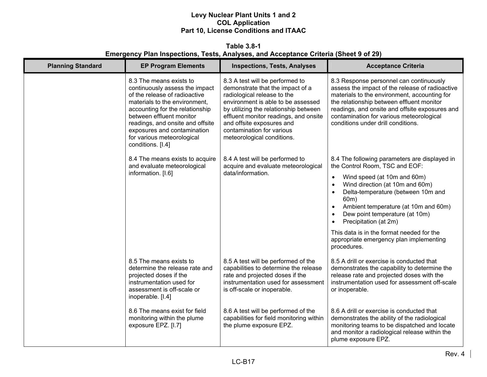**Table 3.8-1 Emergency Plan Inspections, Tests, Analyses, and Acceptance Criteria (Sheet 9 of 29)** 

| <b>Planning Standard</b> | <b>EP Program Elements</b>                                                                                                                                                                                                                                                                                       | <b>Inspections, Tests, Analyses</b>                                                                                                                                                                                                                                                                                | <b>Acceptance Criteria</b>                                                                                                                                                                                                                                                                                                                                               |
|--------------------------|------------------------------------------------------------------------------------------------------------------------------------------------------------------------------------------------------------------------------------------------------------------------------------------------------------------|--------------------------------------------------------------------------------------------------------------------------------------------------------------------------------------------------------------------------------------------------------------------------------------------------------------------|--------------------------------------------------------------------------------------------------------------------------------------------------------------------------------------------------------------------------------------------------------------------------------------------------------------------------------------------------------------------------|
|                          | 8.3 The means exists to<br>continuously assess the impact<br>of the release of radioactive<br>materials to the environment,<br>accounting for the relationship<br>between effluent monitor<br>readings, and onsite and offsite<br>exposures and contamination<br>for various meteorological<br>conditions. [I.4] | 8.3 A test will be performed to<br>demonstrate that the impact of a<br>radiological release to the<br>environment is able to be assessed<br>by utilizing the relationship between<br>effluent monitor readings, and onsite<br>and offsite exposures and<br>contamination for various<br>meteorological conditions. | 8.3 Response personnel can continuously<br>assess the impact of the release of radioactive<br>materials to the environment, accounting for<br>the relationship between effluent monitor<br>readings, and onsite and offsite exposures and<br>contamination for various meteorological<br>conditions under drill conditions.                                              |
|                          | 8.4 The means exists to acquire<br>and evaluate meteorological                                                                                                                                                                                                                                                   | 8.4 A test will be performed to<br>acquire and evaluate meteorological                                                                                                                                                                                                                                             | 8.4 The following parameters are displayed in<br>the Control Room, TSC and EOF:                                                                                                                                                                                                                                                                                          |
|                          | information. [I.6]                                                                                                                                                                                                                                                                                               | data/information.                                                                                                                                                                                                                                                                                                  | Wind speed (at 10m and 60m)<br>$\bullet$<br>Wind direction (at 10m and 60m)<br>$\bullet$<br>Delta-temperature (between 10m and<br>$\bullet$<br>60m)<br>Ambient temperature (at 10m and 60m)<br>$\bullet$<br>Dew point temperature (at 10m)<br>$\bullet$<br>Precipitation (at 2m)<br>This data is in the format needed for the<br>appropriate emergency plan implementing |
|                          |                                                                                                                                                                                                                                                                                                                  |                                                                                                                                                                                                                                                                                                                    | procedures.                                                                                                                                                                                                                                                                                                                                                              |
|                          | 8.5 The means exists to<br>determine the release rate and<br>projected doses if the<br>instrumentation used for<br>assessment is off-scale or<br>inoperable. [I.4]                                                                                                                                               | 8.5 A test will be performed of the<br>capabilities to determine the release<br>rate and projected doses if the<br>instrumentation used for assessment<br>is off-scale or inoperable.                                                                                                                              | 8.5 A drill or exercise is conducted that<br>demonstrates the capability to determine the<br>release rate and projected doses with the<br>instrumentation used for assessment off-scale<br>or inoperable.                                                                                                                                                                |
|                          | 8.6 The means exist for field<br>monitoring within the plume<br>exposure EPZ. [I.7]                                                                                                                                                                                                                              | 8.6 A test will be performed of the<br>capabilities for field monitoring within<br>the plume exposure EPZ.                                                                                                                                                                                                         | 8.6 A drill or exercise is conducted that<br>demonstrates the ability of the radiological<br>monitoring teams to be dispatched and locate<br>and monitor a radiological release within the<br>plume exposure EPZ.                                                                                                                                                        |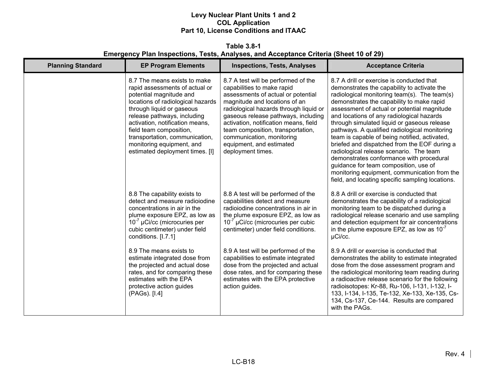**Table 3.8-1 Emergency Plan Inspections, Tests, Analyses, and Acceptance Criteria (Sheet 10 of 29)** 

| <b>Planning Standard</b> | <b>EP Program Elements</b>                                                                                                                                                                                                                                                                                                                                 | <b>Inspections, Tests, Analyses</b>                                                                                                                                                                                                                                                                                                                                                   | <b>Acceptance Criteria</b>                                                                                                                                                                                                                                                                                                                                                                                                                                                                                                                                                                                                                                                                                             |
|--------------------------|------------------------------------------------------------------------------------------------------------------------------------------------------------------------------------------------------------------------------------------------------------------------------------------------------------------------------------------------------------|---------------------------------------------------------------------------------------------------------------------------------------------------------------------------------------------------------------------------------------------------------------------------------------------------------------------------------------------------------------------------------------|------------------------------------------------------------------------------------------------------------------------------------------------------------------------------------------------------------------------------------------------------------------------------------------------------------------------------------------------------------------------------------------------------------------------------------------------------------------------------------------------------------------------------------------------------------------------------------------------------------------------------------------------------------------------------------------------------------------------|
|                          | 8.7 The means exists to make<br>rapid assessments of actual or<br>potential magnitude and<br>locations of radiological hazards<br>through liquid or gaseous<br>release pathways, including<br>activation, notification means,<br>field team composition,<br>transportation, communication,<br>monitoring equipment, and<br>estimated deployment times. [I] | 8.7 A test will be performed of the<br>capabilities to make rapid<br>assessments of actual or potential<br>magnitude and locations of an<br>radiological hazards through liquid or<br>gaseous release pathways, including<br>activation, notification means, field<br>team composition, transportation,<br>communication, monitoring<br>equipment, and estimated<br>deployment times. | 8.7 A drill or exercise is conducted that<br>demonstrates the capability to activate the<br>radiological monitoring team(s). The team(s)<br>demonstrates the capability to make rapid<br>assessment of actual or potential magnitude<br>and locations of any radiological hazards<br>through simulated liquid or gaseous release<br>pathways. A qualified radiological monitoring<br>team is capable of being notified, activated,<br>briefed and dispatched from the EOF during a<br>radiological release scenario. The team<br>demonstrates conformance with procedural<br>guidance for team composition, use of<br>monitoring equipment, communication from the<br>field, and locating specific sampling locations. |
|                          | 8.8 The capability exists to<br>detect and measure radioiodine<br>concentrations in air in the<br>plume exposure EPZ, as low as<br>$10^{-7}$ µCi/cc (microcuries per<br>cubic centimeter) under field<br>conditions. [I.7.1]                                                                                                                               | 8.8 A test will be performed of the<br>capabilities detect and measure<br>radioiodine concentrations in air in<br>the plume exposure EPZ, as low as<br>$10^{-7}$ µCi/cc (microcuries per cubic<br>centimeter) under field conditions.                                                                                                                                                 | 8.8 A drill or exercise is conducted that<br>demonstrates the capability of a radiological<br>monitoring team to be dispatched during a<br>radiological release scenario and use sampling<br>and detection equipment for air concentrations<br>in the plume exposure EPZ, as low as $10^{-7}$<br>µCi/cc.                                                                                                                                                                                                                                                                                                                                                                                                               |
|                          | 8.9 The means exists to<br>estimate integrated dose from<br>the projected and actual dose<br>rates, and for comparing these<br>estimates with the EPA<br>protective action guides<br>(PAGs). [I.4]                                                                                                                                                         | 8.9 A test will be performed of the<br>capabilities to estimate integrated<br>dose from the projected and actual<br>dose rates, and for comparing these<br>estimates with the EPA protective<br>action guides.                                                                                                                                                                        | 8.9 A drill or exercise is conducted that<br>demonstrates the ability to estimate integrated<br>dose from the dose assessment program and<br>the radiological monitoring team reading during<br>a radioactive release scenario for the following<br>radioisotopes: Kr-88, Ru-106, I-131, I-132, I-<br>133, I-134, I-135, Te-132, Xe-133, Xe-135, Cs-<br>134, Cs-137, Ce-144. Results are compared<br>with the PAGs.                                                                                                                                                                                                                                                                                                    |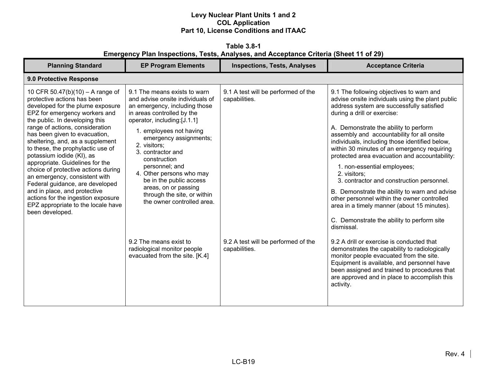**Table 3.8-1 Emergency Plan Inspections, Tests, Analyses, and Acceptance Criteria (Sheet 11 of 29)** 

| <b>Planning Standard</b>                                                                                                                                                                                                                                                                                                                                                                                                                                                                                                                                                                                                      | <b>EP Program Elements</b>                                                                                                                                                                                                                                                                                                                                                                                                                                                                                                        | <b>Inspections, Tests, Analyses</b>                                                                          | <b>Acceptance Criteria</b>                                                                                                                                                                                                                                                                                                                                                                                                                                                                                                                                                                                                                                                                                                                                                                                                                                                                                                                                                                                                   |  |  |
|-------------------------------------------------------------------------------------------------------------------------------------------------------------------------------------------------------------------------------------------------------------------------------------------------------------------------------------------------------------------------------------------------------------------------------------------------------------------------------------------------------------------------------------------------------------------------------------------------------------------------------|-----------------------------------------------------------------------------------------------------------------------------------------------------------------------------------------------------------------------------------------------------------------------------------------------------------------------------------------------------------------------------------------------------------------------------------------------------------------------------------------------------------------------------------|--------------------------------------------------------------------------------------------------------------|------------------------------------------------------------------------------------------------------------------------------------------------------------------------------------------------------------------------------------------------------------------------------------------------------------------------------------------------------------------------------------------------------------------------------------------------------------------------------------------------------------------------------------------------------------------------------------------------------------------------------------------------------------------------------------------------------------------------------------------------------------------------------------------------------------------------------------------------------------------------------------------------------------------------------------------------------------------------------------------------------------------------------|--|--|
| 9.0 Protective Response                                                                                                                                                                                                                                                                                                                                                                                                                                                                                                                                                                                                       |                                                                                                                                                                                                                                                                                                                                                                                                                                                                                                                                   |                                                                                                              |                                                                                                                                                                                                                                                                                                                                                                                                                                                                                                                                                                                                                                                                                                                                                                                                                                                                                                                                                                                                                              |  |  |
| 10 CFR 50.47(b)(10) - A range of<br>protective actions has been<br>developed for the plume exposure<br>EPZ for emergency workers and<br>the public. In developing this<br>range of actions, consideration<br>has been given to evacuation,<br>sheltering, and, as a supplement<br>to these, the prophylactic use of<br>potassium iodide (KI), as<br>appropriate. Guidelines for the<br>choice of protective actions during<br>an emergency, consistent with<br>Federal guidance, are developed<br>and in place, and protective<br>actions for the ingestion exposure<br>EPZ appropriate to the locale have<br>been developed. | 9.1 The means exists to warn<br>and advise onsite individuals of<br>an emergency, including those<br>in areas controlled by the<br>operator, including:[J.1.1]<br>1. employees not having<br>emergency assignments;<br>2. visitors;<br>3. contractor and<br>construction<br>personnel; and<br>4. Other persons who may<br>be in the public access<br>areas, on or passing<br>through the site, or within<br>the owner controlled area.<br>9.2 The means exist to<br>radiological monitor people<br>evacuated from the site. [K.4] | 9.1 A test will be performed of the<br>capabilities.<br>9.2 A test will be performed of the<br>capabilities. | 9.1 The following objectives to warn and<br>advise onsite individuals using the plant public<br>address system are successfully satisfied<br>during a drill or exercise:<br>A. Demonstrate the ability to perform<br>assembly and accountability for all onsite<br>individuals, including those identified below,<br>within 30 minutes of an emergency requiring<br>protected area evacuation and accountability:<br>1. non-essential employees;<br>2. visitors;<br>3. contractor and construction personnel.<br>B. Demonstrate the ability to warn and advise<br>other personnel within the owner controlled<br>area in a timely manner (about 15 minutes).<br>C. Demonstrate the ability to perform site<br>dismissal.<br>9.2 A drill or exercise is conducted that<br>demonstrates the capability to radiologically<br>monitor people evacuated from the site.<br>Equipment is available, and personnel have<br>been assigned and trained to procedures that<br>are approved and in place to accomplish this<br>activity. |  |  |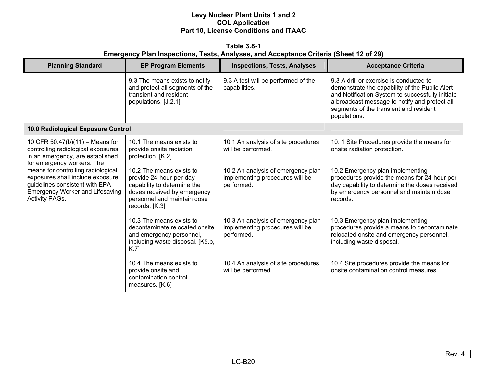**Table 3.8-1 Emergency Plan Inspections, Tests, Analyses, and Acceptance Criteria (Sheet 12 of 29)** 

| <b>Planning Standard</b>                                                                                                                                             | <b>EP Program Elements</b>                                                                                                                                         | <b>Inspections, Tests, Analyses</b>                                                 | <b>Acceptance Criteria</b>                                                                                                                                                                                                                               |
|----------------------------------------------------------------------------------------------------------------------------------------------------------------------|--------------------------------------------------------------------------------------------------------------------------------------------------------------------|-------------------------------------------------------------------------------------|----------------------------------------------------------------------------------------------------------------------------------------------------------------------------------------------------------------------------------------------------------|
|                                                                                                                                                                      | 9.3 The means exists to notify<br>and protect all segments of the<br>transient and resident<br>populations. [J.2.1]                                                | 9.3 A test will be performed of the<br>capabilities.                                | 9.3 A drill or exercise is conducted to<br>demonstrate the capability of the Public Alert<br>and Notification System to successfully initiate<br>a broadcast message to notify and protect all<br>segments of the transient and resident<br>populations. |
| 10.0 Radiological Exposure Control                                                                                                                                   |                                                                                                                                                                    |                                                                                     |                                                                                                                                                                                                                                                          |
| 10 CFR 50.47(b)(11) - Means for<br>controlling radiological exposures,<br>in an emergency, are established<br>for emergency workers. The                             | 10.1 The means exists to<br>provide onsite radiation<br>protection. [K.2]                                                                                          | 10.1 An analysis of site procedures<br>will be performed.                           | 10. 1 Site Procedures provide the means for<br>onsite radiation protection.                                                                                                                                                                              |
| means for controlling radiological<br>exposures shall include exposure<br>guidelines consistent with EPA<br><b>Emergency Worker and Lifesaving</b><br>Activity PAGs. | 10.2 The means exists to<br>provide 24-hour-per-day<br>capability to determine the<br>doses received by emergency<br>personnel and maintain dose<br>records. [K.3] | 10.2 An analysis of emergency plan<br>implementing procedures will be<br>performed. | 10.2 Emergency plan implementing<br>procedures provide the means for 24-hour per-<br>day capability to determine the doses received<br>by emergency personnel and maintain dose<br>records.                                                              |
|                                                                                                                                                                      | 10.3 The means exists to<br>decontaminate relocated onsite<br>and emergency personnel,<br>including waste disposal. [K5.b,<br>K.7                                  | 10.3 An analysis of emergency plan<br>implementing procedures will be<br>performed. | 10.3 Emergency plan implementing<br>procedures provide a means to decontaminate<br>relocated onsite and emergency personnel,<br>including waste disposal.                                                                                                |
|                                                                                                                                                                      | 10.4 The means exists to<br>provide onsite and<br>contamination control<br>measures. [K.6]                                                                         | 10.4 An analysis of site procedures<br>will be performed.                           | 10.4 Site procedures provide the means for<br>onsite contamination control measures.                                                                                                                                                                     |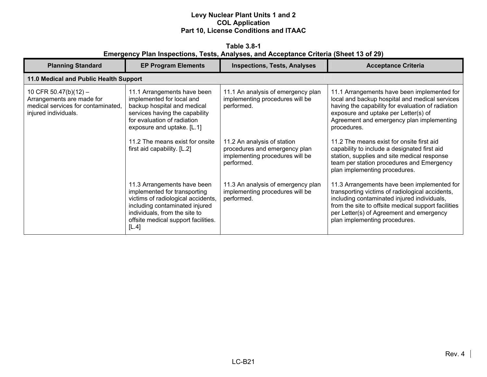**Table 3.8-1 Emergency Plan Inspections, Tests, Analyses, and Acceptance Criteria (Sheet 13 of 29)** 

| <b>Planning Standard</b>                                                                                         | <b>EP Program Elements</b>                                                                                                                                                                                           | <b>Inspections, Tests, Analyses</b>                                                                           | <b>Acceptance Criteria</b>                                                                                                                                                                                                                                                        |
|------------------------------------------------------------------------------------------------------------------|----------------------------------------------------------------------------------------------------------------------------------------------------------------------------------------------------------------------|---------------------------------------------------------------------------------------------------------------|-----------------------------------------------------------------------------------------------------------------------------------------------------------------------------------------------------------------------------------------------------------------------------------|
| 11.0 Medical and Public Health Support                                                                           |                                                                                                                                                                                                                      |                                                                                                               |                                                                                                                                                                                                                                                                                   |
| 10 CFR 50.47(b)(12) -<br>Arrangements are made for<br>medical services for contaminated.<br>injured individuals. | 11.1 Arrangements have been<br>implemented for local and<br>backup hospital and medical<br>services having the capability<br>for evaluation of radiation<br>exposure and uptake. [L.1]                               | 11.1 An analysis of emergency plan<br>implementing procedures will be<br>performed.                           | 11.1 Arrangements have been implemented for<br>local and backup hospital and medical services<br>having the capability for evaluation of radiation<br>exposure and uptake per Letter(s) of<br>Agreement and emergency plan implementing<br>procedures.                            |
|                                                                                                                  | 11.2 The means exist for onsite<br>first aid capability. [L.2]                                                                                                                                                       | 11.2 An analysis of station<br>procedures and emergency plan<br>implementing procedures will be<br>performed. | 11.2 The means exist for onsite first aid<br>capability to include a designated first aid<br>station, supplies and site medical response<br>team per station procedures and Emergency<br>plan implementing procedures.                                                            |
|                                                                                                                  | 11.3 Arrangements have been<br>implemented for transporting<br>victims of radiological accidents,<br>including contaminated injured<br>individuals, from the site to<br>offsite medical support facilities.<br>[L.4] | 11.3 An analysis of emergency plan<br>implementing procedures will be<br>performed.                           | 11.3 Arrangements have been implemented for<br>transporting victims of radiological accidents,<br>including contaminated injured individuals,<br>from the site to offsite medical support facilities<br>per Letter(s) of Agreement and emergency<br>plan implementing procedures. |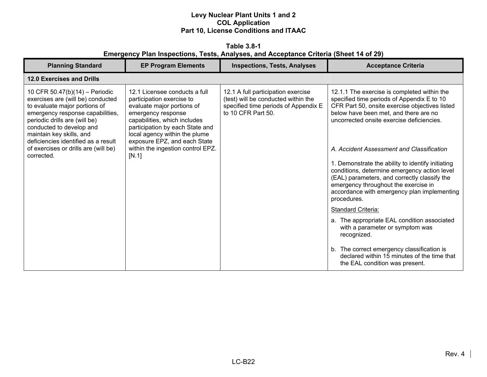**Table 3.8-1 Emergency Plan Inspections, Tests, Analyses, and Acceptance Criteria (Sheet 14 of 29)** 

| <b>Planning Standard</b>                                                                                                                                                                                                                                                                                                       | <b>EP Program Elements</b>                                                                                                                                                                                                                                                                       | <b>Inspections, Tests, Analyses</b>                                                                                                     | <b>Acceptance Criteria</b>                                                                                                                                                                                                                                                                                                                                                                                                                                                                                                                                      |
|--------------------------------------------------------------------------------------------------------------------------------------------------------------------------------------------------------------------------------------------------------------------------------------------------------------------------------|--------------------------------------------------------------------------------------------------------------------------------------------------------------------------------------------------------------------------------------------------------------------------------------------------|-----------------------------------------------------------------------------------------------------------------------------------------|-----------------------------------------------------------------------------------------------------------------------------------------------------------------------------------------------------------------------------------------------------------------------------------------------------------------------------------------------------------------------------------------------------------------------------------------------------------------------------------------------------------------------------------------------------------------|
| <b>12.0 Exercises and Drills</b>                                                                                                                                                                                                                                                                                               |                                                                                                                                                                                                                                                                                                  |                                                                                                                                         |                                                                                                                                                                                                                                                                                                                                                                                                                                                                                                                                                                 |
| 10 CFR 50.47(b)(14) - Periodic<br>exercises are (will be) conducted<br>to evaluate major portions of<br>emergency response capabilities,<br>periodic drills are (will be)<br>conducted to develop and<br>maintain key skills, and<br>deficiencies identified as a result<br>of exercises or drills are (will be)<br>corrected. | 12.1 Licensee conducts a full<br>participation exercise to<br>evaluate major portions of<br>emergency response<br>capabilities, which includes<br>participation by each State and<br>local agency within the plume<br>exposure EPZ, and each State<br>within the ingestion control EPZ.<br>[N.1] | 12.1 A full participation exercise<br>(test) will be conducted within the<br>specified time periods of Appendix E<br>to 10 CFR Part 50. | 12.1.1 The exercise is completed within the<br>specified time periods of Appendix E to 10<br>CFR Part 50, onsite exercise objectives listed<br>below have been met, and there are no<br>uncorrected onsite exercise deficiencies.<br>A. Accident Assessment and Classification<br>1. Demonstrate the ability to identify initiating<br>conditions, determine emergency action level<br>(EAL) parameters, and correctly classify the<br>emergency throughout the exercise in<br>accordance with emergency plan implementing<br>procedures.<br>Standard Criteria: |
|                                                                                                                                                                                                                                                                                                                                |                                                                                                                                                                                                                                                                                                  |                                                                                                                                         | a. The appropriate EAL condition associated<br>with a parameter or symptom was<br>recognized.                                                                                                                                                                                                                                                                                                                                                                                                                                                                   |
|                                                                                                                                                                                                                                                                                                                                |                                                                                                                                                                                                                                                                                                  |                                                                                                                                         | b. The correct emergency classification is<br>declared within 15 minutes of the time that<br>the EAL condition was present.                                                                                                                                                                                                                                                                                                                                                                                                                                     |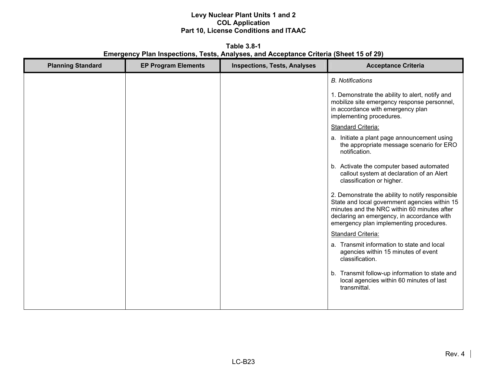**Table 3.8-1 Emergency Plan Inspections, Tests, Analyses, and Acceptance Criteria (Sheet 15 of 29)** 

| <b>Planning Standard</b> | <b>EP Program Elements</b> | <b>Inspections, Tests, Analyses</b> | <b>Acceptance Criteria</b>                                                                                                                                                                                                                |
|--------------------------|----------------------------|-------------------------------------|-------------------------------------------------------------------------------------------------------------------------------------------------------------------------------------------------------------------------------------------|
|                          |                            |                                     | <b>B.</b> Notifications                                                                                                                                                                                                                   |
|                          |                            |                                     | 1. Demonstrate the ability to alert, notify and<br>mobilize site emergency response personnel,<br>in accordance with emergency plan<br>implementing procedures.                                                                           |
|                          |                            |                                     | <b>Standard Criteria:</b>                                                                                                                                                                                                                 |
|                          |                            |                                     | a. Initiate a plant page announcement using<br>the appropriate message scenario for ERO<br>notification.                                                                                                                                  |
|                          |                            |                                     | b. Activate the computer based automated<br>callout system at declaration of an Alert<br>classification or higher.                                                                                                                        |
|                          |                            |                                     | 2. Demonstrate the ability to notify responsible<br>State and local government agencies within 15<br>minutes and the NRC within 60 minutes after<br>declaring an emergency, in accordance with<br>emergency plan implementing procedures. |
|                          |                            |                                     | <b>Standard Criteria:</b>                                                                                                                                                                                                                 |
|                          |                            |                                     | a. Transmit information to state and local<br>agencies within 15 minutes of event<br>classification.                                                                                                                                      |
|                          |                            |                                     | b. Transmit follow-up information to state and<br>local agencies within 60 minutes of last<br>transmittal.                                                                                                                                |
|                          |                            |                                     |                                                                                                                                                                                                                                           |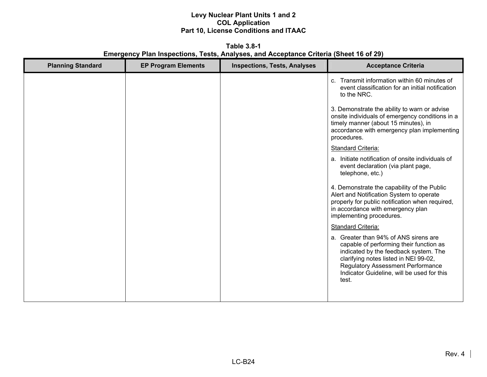**Table 3.8-1 Emergency Plan Inspections, Tests, Analyses, and Acceptance Criteria (Sheet 16 of 29)** 

| <b>Planning Standard</b> | <b>EP Program Elements</b> | <b>Inspections, Tests, Analyses</b> | <b>Acceptance Criteria</b>                                                                                                                                                                                                                                            |
|--------------------------|----------------------------|-------------------------------------|-----------------------------------------------------------------------------------------------------------------------------------------------------------------------------------------------------------------------------------------------------------------------|
|                          |                            |                                     | c. Transmit information within 60 minutes of<br>event classification for an initial notification<br>to the NRC.                                                                                                                                                       |
|                          |                            |                                     | 3. Demonstrate the ability to warn or advise<br>onsite individuals of emergency conditions in a<br>timely manner (about 15 minutes), in<br>accordance with emergency plan implementing<br>procedures.                                                                 |
|                          |                            |                                     | <b>Standard Criteria:</b>                                                                                                                                                                                                                                             |
|                          |                            |                                     | a. Initiate notification of onsite individuals of<br>event declaration (via plant page,<br>telephone, etc.)                                                                                                                                                           |
|                          |                            |                                     | 4. Demonstrate the capability of the Public<br>Alert and Notification System to operate<br>properly for public notification when required,<br>in accordance with emergency plan<br>implementing procedures.                                                           |
|                          |                            |                                     | <b>Standard Criteria:</b>                                                                                                                                                                                                                                             |
|                          |                            |                                     | a. Greater than 94% of ANS sirens are<br>capable of performing their function as<br>indicated by the feedback system. The<br>clarifying notes listed in NEI 99-02,<br><b>Regulatory Assessment Performance</b><br>Indicator Guideline, will be used for this<br>test. |
|                          |                            |                                     |                                                                                                                                                                                                                                                                       |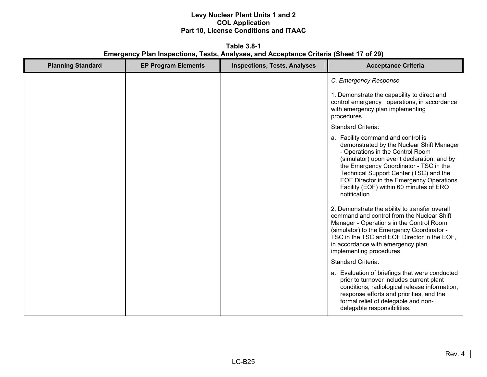**Table 3.8-1 Emergency Plan Inspections, Tests, Analyses, and Acceptance Criteria (Sheet 17 of 29)** 

| <b>Planning Standard</b> | <b>EP Program Elements</b> | <b>Inspections, Tests, Analyses</b> | <b>Acceptance Criteria</b>                                                                                                                                                                                                                                                                                                                                    |
|--------------------------|----------------------------|-------------------------------------|---------------------------------------------------------------------------------------------------------------------------------------------------------------------------------------------------------------------------------------------------------------------------------------------------------------------------------------------------------------|
|                          |                            |                                     | C. Emergency Response                                                                                                                                                                                                                                                                                                                                         |
|                          |                            |                                     | 1. Demonstrate the capability to direct and<br>control emergency operations, in accordance<br>with emergency plan implementing<br>procedures.                                                                                                                                                                                                                 |
|                          |                            |                                     | <b>Standard Criteria:</b>                                                                                                                                                                                                                                                                                                                                     |
|                          |                            |                                     | a. Facility command and control is<br>demonstrated by the Nuclear Shift Manager<br>- Operations in the Control Room<br>(simulator) upon event declaration, and by<br>the Emergency Coordinator - TSC in the<br>Technical Support Center (TSC) and the<br>EOF Director in the Emergency Operations<br>Facility (EOF) within 60 minutes of ERO<br>notification. |
|                          |                            |                                     | 2. Demonstrate the ability to transfer overall<br>command and control from the Nuclear Shift<br>Manager - Operations in the Control Room<br>(simulator) to the Emergency Coordinator -<br>TSC in the TSC and EOF Director in the EOF,<br>in accordance with emergency plan<br>implementing procedures.                                                        |
|                          |                            |                                     | <b>Standard Criteria:</b>                                                                                                                                                                                                                                                                                                                                     |
|                          |                            |                                     | a. Evaluation of briefings that were conducted<br>prior to turnover includes current plant<br>conditions, radiological release information,<br>response efforts and priorities, and the<br>formal relief of delegable and non-<br>delegable responsibilities.                                                                                                 |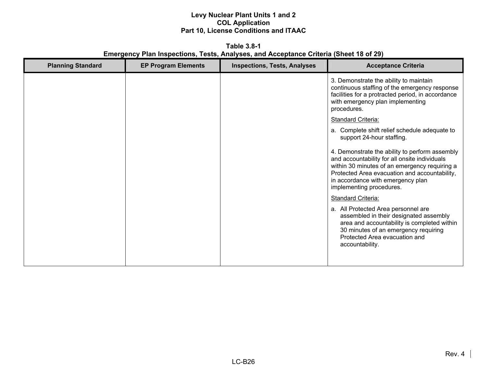**Table 3.8-1 Emergency Plan Inspections, Tests, Analyses, and Acceptance Criteria (Sheet 18 of 29)** 

| <b>Planning Standard</b> | <b>EP Program Elements</b> | <b>Inspections, Tests, Analyses</b> | <b>Acceptance Criteria</b>                                                                                                                                                                                                                                         |
|--------------------------|----------------------------|-------------------------------------|--------------------------------------------------------------------------------------------------------------------------------------------------------------------------------------------------------------------------------------------------------------------|
|                          |                            |                                     | 3. Demonstrate the ability to maintain<br>continuous staffing of the emergency response<br>facilities for a protracted period, in accordance<br>with emergency plan implementing<br>procedures.                                                                    |
|                          |                            |                                     | <b>Standard Criteria:</b>                                                                                                                                                                                                                                          |
|                          |                            |                                     | a. Complete shift relief schedule adequate to<br>support 24-hour staffing.                                                                                                                                                                                         |
|                          |                            |                                     | 4. Demonstrate the ability to perform assembly<br>and accountability for all onsite individuals<br>within 30 minutes of an emergency requiring a<br>Protected Area evacuation and accountability,<br>in accordance with emergency plan<br>implementing procedures. |
|                          |                            |                                     | <b>Standard Criteria:</b>                                                                                                                                                                                                                                          |
|                          |                            |                                     | a. All Protected Area personnel are<br>assembled in their designated assembly<br>area and accountability is completed within<br>30 minutes of an emergency requiring<br>Protected Area evacuation and<br>accountability.                                           |
|                          |                            |                                     |                                                                                                                                                                                                                                                                    |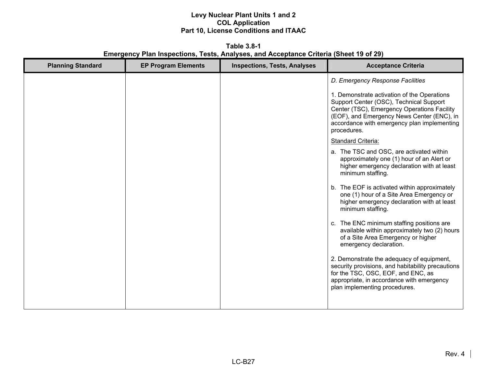**Table 3.8-1 Emergency Plan Inspections, Tests, Analyses, and Acceptance Criteria (Sheet 19 of 29)** 

| <b>Planning Standard</b> | <b>EP Program Elements</b> | <b>Inspections, Tests, Analyses</b> | <b>Acceptance Criteria</b>                                                                                                                                                                                                                        |
|--------------------------|----------------------------|-------------------------------------|---------------------------------------------------------------------------------------------------------------------------------------------------------------------------------------------------------------------------------------------------|
|                          |                            |                                     | D. Emergency Response Facilities                                                                                                                                                                                                                  |
|                          |                            |                                     | 1. Demonstrate activation of the Operations<br>Support Center (OSC), Technical Support<br>Center (TSC), Emergency Operations Facility<br>(EOF), and Emergency News Center (ENC), in<br>accordance with emergency plan implementing<br>procedures. |
|                          |                            |                                     | Standard Criteria:                                                                                                                                                                                                                                |
|                          |                            |                                     | a. The TSC and OSC, are activated within<br>approximately one (1) hour of an Alert or<br>higher emergency declaration with at least<br>minimum staffing.                                                                                          |
|                          |                            |                                     | b. The EOF is activated within approximately<br>one (1) hour of a Site Area Emergency or<br>higher emergency declaration with at least<br>minimum staffing.                                                                                       |
|                          |                            |                                     | c. The ENC minimum staffing positions are<br>available within approximately two (2) hours<br>of a Site Area Emergency or higher<br>emergency declaration.                                                                                         |
|                          |                            |                                     | 2. Demonstrate the adequacy of equipment,<br>security provisions, and habitability precautions<br>for the TSC, OSC, EOF, and ENC, as<br>appropriate, in accordance with emergency<br>plan implementing procedures.                                |
|                          |                            |                                     |                                                                                                                                                                                                                                                   |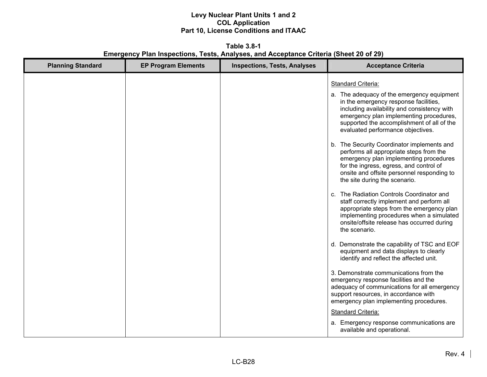**Table 3.8-1 Emergency Plan Inspections, Tests, Analyses, and Acceptance Criteria (Sheet 20 of 29)** 

| <b>Planning Standard</b> | <b>EP Program Elements</b> | <b>Inspections, Tests, Analyses</b> | <b>Acceptance Criteria</b>                                                                                                                                                                                                                                                                                                                                                                                                                                                                                                                                                                                                                                                                                                                                                                                                                                                                             |
|--------------------------|----------------------------|-------------------------------------|--------------------------------------------------------------------------------------------------------------------------------------------------------------------------------------------------------------------------------------------------------------------------------------------------------------------------------------------------------------------------------------------------------------------------------------------------------------------------------------------------------------------------------------------------------------------------------------------------------------------------------------------------------------------------------------------------------------------------------------------------------------------------------------------------------------------------------------------------------------------------------------------------------|
|                          |                            |                                     | <b>Standard Criteria:</b><br>a. The adequacy of the emergency equipment<br>in the emergency response facilities,<br>including availability and consistency with<br>emergency plan implementing procedures,<br>supported the accomplishment of all of the<br>evaluated performance objectives.<br>b. The Security Coordinator implements and<br>performs all appropriate steps from the<br>emergency plan implementing procedures<br>for the ingress, egress, and control of<br>onsite and offsite personnel responding to<br>the site during the scenario.<br>c. The Radiation Controls Coordinator and<br>staff correctly implement and perform all<br>appropriate steps from the emergency plan<br>implementing procedures when a simulated<br>onsite/offsite release has occurred during<br>the scenario.<br>d. Demonstrate the capability of TSC and EOF<br>equipment and data displays to clearly |
|                          |                            |                                     | identify and reflect the affected unit.<br>3. Demonstrate communications from the<br>emergency response facilities and the<br>adequacy of communications for all emergency<br>support resources, in accordance with<br>emergency plan implementing procedures.<br><b>Standard Criteria:</b><br>a. Emergency response communications are<br>available and operational.                                                                                                                                                                                                                                                                                                                                                                                                                                                                                                                                  |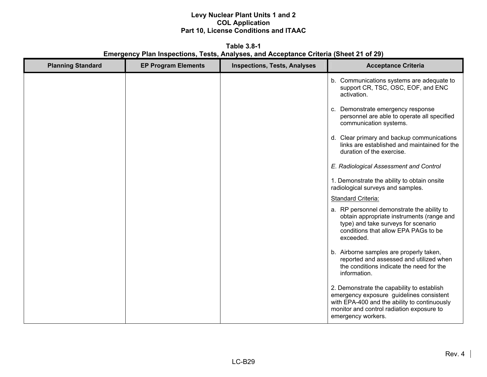**Table 3.8-1 Emergency Plan Inspections, Tests, Analyses, and Acceptance Criteria (Sheet 21 of 29)** 

| <b>Planning Standard</b> | <b>EP Program Elements</b> | <b>Inspections, Tests, Analyses</b> | <b>Acceptance Criteria</b>                                                                                                                                                                                |
|--------------------------|----------------------------|-------------------------------------|-----------------------------------------------------------------------------------------------------------------------------------------------------------------------------------------------------------|
|                          |                            |                                     | b. Communications systems are adequate to<br>support CR, TSC, OSC, EOF, and ENC<br>activation.                                                                                                            |
|                          |                            |                                     | c. Demonstrate emergency response<br>personnel are able to operate all specified<br>communication systems.                                                                                                |
|                          |                            |                                     | d. Clear primary and backup communications<br>links are established and maintained for the<br>duration of the exercise.                                                                                   |
|                          |                            |                                     | E. Radiological Assessment and Control                                                                                                                                                                    |
|                          |                            |                                     | 1. Demonstrate the ability to obtain onsite<br>radiological surveys and samples.                                                                                                                          |
|                          |                            |                                     | <b>Standard Criteria:</b>                                                                                                                                                                                 |
|                          |                            |                                     | a. RP personnel demonstrate the ability to<br>obtain appropriate instruments (range and<br>type) and take surveys for scenario<br>conditions that allow EPA PAGs to be<br>exceeded.                       |
|                          |                            |                                     | b. Airborne samples are properly taken,<br>reported and assessed and utilized when<br>the conditions indicate the need for the<br>information.                                                            |
|                          |                            |                                     | 2. Demonstrate the capability to establish<br>emergency exposure guidelines consistent<br>with EPA-400 and the ability to continuously<br>monitor and control radiation exposure to<br>emergency workers. |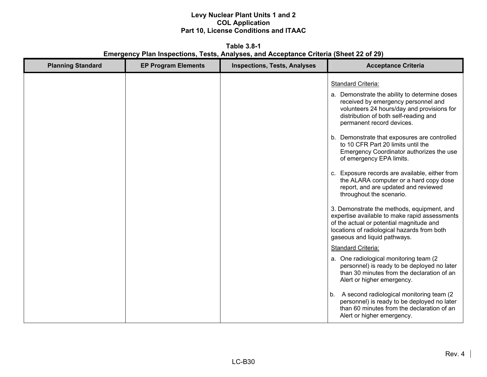**Table 3.8-1 Emergency Plan Inspections, Tests, Analyses, and Acceptance Criteria (Sheet 22 of 29)**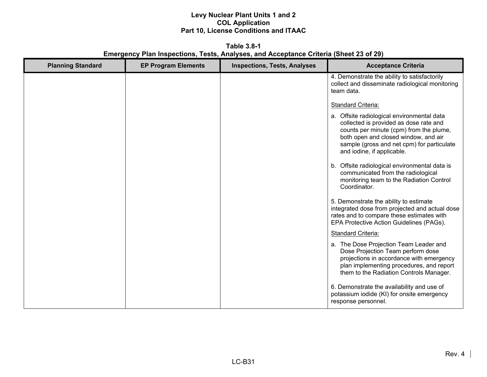**Table 3.8-1 Emergency Plan Inspections, Tests, Analyses, and Acceptance Criteria (Sheet 23 of 29)** 

| <b>Planning Standard</b> | <b>EP Program Elements</b> | <b>Inspections, Tests, Analyses</b> | <b>Acceptance Criteria</b>                                                                                                                                                                                                                          |
|--------------------------|----------------------------|-------------------------------------|-----------------------------------------------------------------------------------------------------------------------------------------------------------------------------------------------------------------------------------------------------|
|                          |                            |                                     | 4. Demonstrate the ability to satisfactorily<br>collect and disseminate radiological monitoring<br>team data.                                                                                                                                       |
|                          |                            |                                     | <b>Standard Criteria:</b>                                                                                                                                                                                                                           |
|                          |                            |                                     | a. Offsite radiological environmental data<br>collected is provided as dose rate and<br>counts per minute (cpm) from the plume,<br>both open and closed window, and air<br>sample (gross and net cpm) for particulate<br>and iodine, if applicable. |
|                          |                            |                                     | Offsite radiological environmental data is<br>b.<br>communicated from the radiological<br>monitoring team to the Radiation Control<br>Coordinator.                                                                                                  |
|                          |                            |                                     | 5. Demonstrate the ability to estimate<br>integrated dose from projected and actual dose<br>rates and to compare these estimates with<br>EPA Protective Action Guidelines (PAGs).                                                                   |
|                          |                            |                                     | Standard Criteria:                                                                                                                                                                                                                                  |
|                          |                            |                                     | a. The Dose Projection Team Leader and<br>Dose Projection Team perform dose<br>projections in accordance with emergency<br>plan implementing procedures, and report<br>them to the Radiation Controls Manager.                                      |
|                          |                            |                                     | 6. Demonstrate the availability and use of<br>potassium iodide (KI) for onsite emergency<br>response personnel.                                                                                                                                     |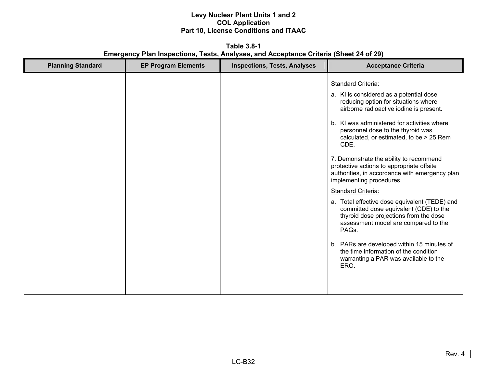**Table 3.8-1 Emergency Plan Inspections, Tests, Analyses, and Acceptance Criteria (Sheet 24 of 29)** 

| <b>Planning Standard</b> | <b>EP Program Elements</b> | <b>Inspections, Tests, Analyses</b> | <b>Acceptance Criteria</b>                                                                                                                                                                                                                                                                                                                                                                                                                                                                                                                                                                                                                                                                                                                                                                                                       |
|--------------------------|----------------------------|-------------------------------------|----------------------------------------------------------------------------------------------------------------------------------------------------------------------------------------------------------------------------------------------------------------------------------------------------------------------------------------------------------------------------------------------------------------------------------------------------------------------------------------------------------------------------------------------------------------------------------------------------------------------------------------------------------------------------------------------------------------------------------------------------------------------------------------------------------------------------------|
|                          |                            |                                     | <b>Standard Criteria:</b><br>a. KI is considered as a potential dose<br>reducing option for situations where<br>airborne radioactive iodine is present.<br>b. KI was administered for activities where<br>personnel dose to the thyroid was<br>calculated, or estimated, to be > 25 Rem<br>CDE.<br>7. Demonstrate the ability to recommend<br>protective actions to appropriate offsite<br>authorities, in accordance with emergency plan<br>implementing procedures.<br><b>Standard Criteria:</b><br>a. Total effective dose equivalent (TEDE) and<br>committed dose equivalent (CDE) to the<br>thyroid dose projections from the dose<br>assessment model are compared to the<br>PAGs.<br>b. PARs are developed within 15 minutes of<br>the time information of the condition<br>warranting a PAR was available to the<br>ERO. |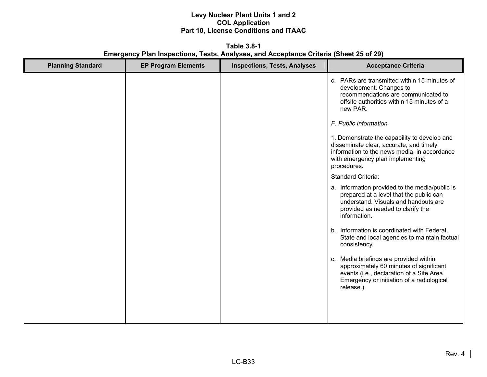**Table 3.8-1 Emergency Plan Inspections, Tests, Analyses, and Acceptance Criteria (Sheet 25 of 29)** 

| <b>Planning Standard</b> | <b>EP Program Elements</b> | <b>Inspections, Tests, Analyses</b> | <b>Acceptance Criteria</b>                                                                                                                                                                 |
|--------------------------|----------------------------|-------------------------------------|--------------------------------------------------------------------------------------------------------------------------------------------------------------------------------------------|
|                          |                            |                                     | c. PARs are transmitted within 15 minutes of<br>development. Changes to<br>recommendations are communicated to<br>offsite authorities within 15 minutes of a<br>new PAR.                   |
|                          |                            |                                     | F. Public Information                                                                                                                                                                      |
|                          |                            |                                     | 1. Demonstrate the capability to develop and<br>disseminate clear, accurate, and timely<br>information to the news media, in accordance<br>with emergency plan implementing<br>procedures. |
|                          |                            |                                     | Standard Criteria:                                                                                                                                                                         |
|                          |                            |                                     | a. Information provided to the media/public is<br>prepared at a level that the public can<br>understand. Visuals and handouts are<br>provided as needed to clarify the<br>information.     |
|                          |                            |                                     | b. Information is coordinated with Federal,<br>State and local agencies to maintain factual<br>consistency.                                                                                |
|                          |                            |                                     | c. Media briefings are provided within<br>approximately 60 minutes of significant<br>events (i.e., declaration of a Site Area<br>Emergency or initiation of a radiological<br>release.)    |
|                          |                            |                                     |                                                                                                                                                                                            |
|                          |                            |                                     |                                                                                                                                                                                            |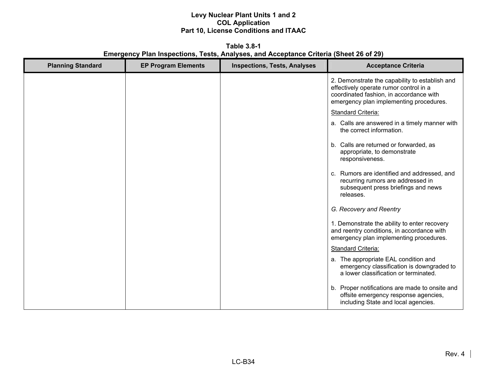**Table 3.8-1 Emergency Plan Inspections, Tests, Analyses, and Acceptance Criteria (Sheet 26 of 29)** 

| <b>Planning Standard</b> | <b>EP Program Elements</b> | <b>Inspections, Tests, Analyses</b> | <b>Acceptance Criteria</b>                                                                                                                                                     |
|--------------------------|----------------------------|-------------------------------------|--------------------------------------------------------------------------------------------------------------------------------------------------------------------------------|
|                          |                            |                                     | 2. Demonstrate the capability to establish and<br>effectively operate rumor control in a<br>coordinated fashion, in accordance with<br>emergency plan implementing procedures. |
|                          |                            |                                     | Standard Criteria:                                                                                                                                                             |
|                          |                            |                                     | a. Calls are answered in a timely manner with<br>the correct information.                                                                                                      |
|                          |                            |                                     | b. Calls are returned or forwarded, as<br>appropriate, to demonstrate<br>responsiveness.                                                                                       |
|                          |                            |                                     | c. Rumors are identified and addressed, and<br>recurring rumors are addressed in<br>subsequent press briefings and news<br>releases.                                           |
|                          |                            |                                     | G. Recovery and Reentry                                                                                                                                                        |
|                          |                            |                                     | 1. Demonstrate the ability to enter recovery<br>and reentry conditions, in accordance with<br>emergency plan implementing procedures.                                          |
|                          |                            |                                     | Standard Criteria:                                                                                                                                                             |
|                          |                            |                                     | a. The appropriate EAL condition and<br>emergency classification is downgraded to<br>a lower classification or terminated.                                                     |
|                          |                            |                                     | b. Proper notifications are made to onsite and<br>offsite emergency response agencies,<br>including State and local agencies.                                                  |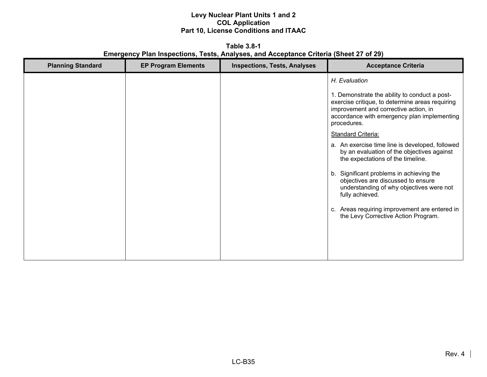**Table 3.8-1 Emergency Plan Inspections, Tests, Analyses, and Acceptance Criteria (Sheet 27 of 29)** 

| <b>Planning Standard</b> | <b>EP Program Elements</b> | <b>Inspections, Tests, Analyses</b> | <b>Acceptance Criteria</b>                                                                                                                                                                                                                                                                                                                                                                                              |
|--------------------------|----------------------------|-------------------------------------|-------------------------------------------------------------------------------------------------------------------------------------------------------------------------------------------------------------------------------------------------------------------------------------------------------------------------------------------------------------------------------------------------------------------------|
|                          |                            |                                     | H. Evaluation<br>1. Demonstrate the ability to conduct a post-<br>exercise critique, to determine areas requiring<br>improvement and corrective action, in<br>accordance with emergency plan implementing                                                                                                                                                                                                               |
|                          |                            |                                     | procedures.<br><b>Standard Criteria:</b><br>a. An exercise time line is developed, followed<br>by an evaluation of the objectives against<br>the expectations of the timeline.<br>b. Significant problems in achieving the<br>objectives are discussed to ensure<br>understanding of why objectives were not<br>fully achieved.<br>c. Areas requiring improvement are entered in<br>the Levy Corrective Action Program. |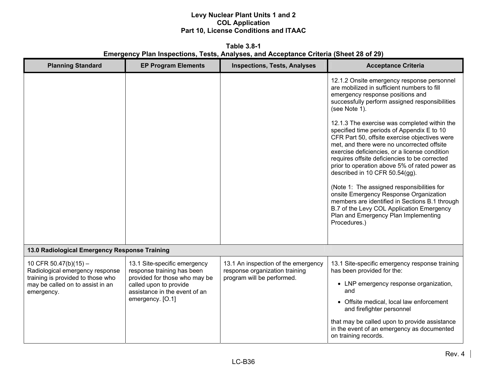**Table 3.8-1 Emergency Plan Inspections, Tests, Analyses, and Acceptance Criteria (Sheet 28 of 29)** 

| <b>Planning Standard</b>                                                                                                                          | <b>EP Program Elements</b>                                                                                                                                                 | <b>Inspections, Tests, Analyses</b>                                                                 | <b>Acceptance Criteria</b>                                                                                                                                                                                                                                                                                                                                                                                                                                                                                                                                                                                                    |
|---------------------------------------------------------------------------------------------------------------------------------------------------|----------------------------------------------------------------------------------------------------------------------------------------------------------------------------|-----------------------------------------------------------------------------------------------------|-------------------------------------------------------------------------------------------------------------------------------------------------------------------------------------------------------------------------------------------------------------------------------------------------------------------------------------------------------------------------------------------------------------------------------------------------------------------------------------------------------------------------------------------------------------------------------------------------------------------------------|
|                                                                                                                                                   |                                                                                                                                                                            |                                                                                                     | 12.1.2 Onsite emergency response personnel<br>are mobilized in sufficient numbers to fill<br>emergency response positions and<br>successfully perform assigned responsibilities<br>(see Note 1).                                                                                                                                                                                                                                                                                                                                                                                                                              |
|                                                                                                                                                   |                                                                                                                                                                            |                                                                                                     | 12.1.3 The exercise was completed within the<br>specified time periods of Appendix E to 10<br>CFR Part 50, offsite exercise objectives were<br>met, and there were no uncorrected offsite<br>exercise deficiencies, or a license condition<br>requires offsite deficiencies to be corrected<br>prior to operation above 5% of rated power as<br>described in 10 CFR 50.54(gg).<br>(Note 1: The assigned responsibilities for<br>onsite Emergency Response Organization<br>members are identified in Sections B.1 through<br>B.7 of the Levy COL Application Emergency<br>Plan and Emergency Plan Implementing<br>Procedures.) |
| 13.0 Radiological Emergency Response Training                                                                                                     |                                                                                                                                                                            |                                                                                                     |                                                                                                                                                                                                                                                                                                                                                                                                                                                                                                                                                                                                                               |
| 10 CFR 50.47(b)(15) $-$<br>Radiological emergency response<br>training is provided to those who<br>may be called on to assist in an<br>emergency. | 13.1 Site-specific emergency<br>response training has been<br>provided for those who may be<br>called upon to provide<br>assistance in the event of an<br>emergency. [O.1] | 13.1 An inspection of the emergency<br>response organization training<br>program will be performed. | 13.1 Site-specific emergency response training<br>has been provided for the:<br>• LNP emergency response organization,<br>and<br>• Offsite medical, local law enforcement<br>and firefighter personnel                                                                                                                                                                                                                                                                                                                                                                                                                        |
|                                                                                                                                                   |                                                                                                                                                                            |                                                                                                     | that may be called upon to provide assistance<br>in the event of an emergency as documented<br>on training records.                                                                                                                                                                                                                                                                                                                                                                                                                                                                                                           |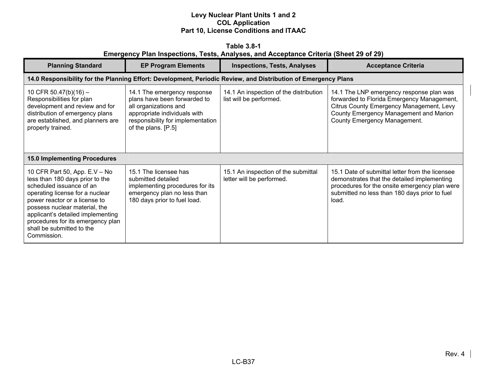| Table 3.8-1                                                                           |  |  |  |  |  |  |  |  |
|---------------------------------------------------------------------------------------|--|--|--|--|--|--|--|--|
| Emergency Plan Inspections, Tests, Analyses, and Acceptance Criteria (Sheet 29 of 29) |  |  |  |  |  |  |  |  |

| <b>Planning Standard</b>                                                                                                                                                                                                                                                                                                | <b>EP Program Elements</b>                                                                                                                                                       | <b>Inspections, Tests, Analyses</b>                               | <b>Acceptance Criteria</b>                                                                                                                                                                                   |  |
|-------------------------------------------------------------------------------------------------------------------------------------------------------------------------------------------------------------------------------------------------------------------------------------------------------------------------|----------------------------------------------------------------------------------------------------------------------------------------------------------------------------------|-------------------------------------------------------------------|--------------------------------------------------------------------------------------------------------------------------------------------------------------------------------------------------------------|--|
|                                                                                                                                                                                                                                                                                                                         | 14.0 Responsibility for the Planning Effort: Development, Periodic Review, and Distribution of Emergency Plans                                                                   |                                                                   |                                                                                                                                                                                                              |  |
| 10 CFR 50.47(b)(16) -<br>Responsibilities for plan<br>development and review and for<br>distribution of emergency plans<br>are established, and planners are<br>properly trained.                                                                                                                                       | 14.1 The emergency response<br>plans have been forwarded to<br>all organizations and<br>appropriate individuals with<br>responsibility for implementation<br>of the plans. [P.5] | 14.1 An inspection of the distribution<br>list will be performed. | 14.1 The LNP emergency response plan was<br>forwarded to Florida Emergency Management,<br>Citrus County Emergency Management, Levy<br>County Emergency Management and Marion<br>County Emergency Management. |  |
| <b>15.0 Implementing Procedures</b>                                                                                                                                                                                                                                                                                     |                                                                                                                                                                                  |                                                                   |                                                                                                                                                                                                              |  |
| 10 CFR Part 50, App. E.V - No<br>less than 180 days prior to the<br>scheduled issuance of an<br>operating license for a nuclear<br>power reactor or a license to<br>possess nuclear material, the<br>applicant's detailed implementing<br>procedures for its emergency plan<br>shall be submitted to the<br>Commission. | 15.1 The licensee has<br>submitted detailed<br>implementing procedures for its<br>emergency plan no less than<br>180 days prior to fuel load.                                    | 15.1 An inspection of the submittal<br>letter will be performed.  | 15.1 Date of submittal letter from the licensee<br>demonstrates that the detailed implementing<br>procedures for the onsite emergency plan were<br>submitted no less than 180 days prior to fuel<br>load.    |  |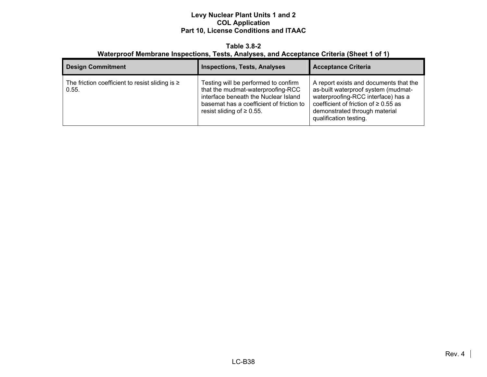#### **Table 3.8-2 Waterproof Membrane Inspections, Tests, Analyses, and Acceptance Criteria (Sheet 1 of 1)**

| <b>Design Commitment</b>                                      | <b>Inspections, Tests, Analyses</b>                                                                                                                                                              | <b>Acceptance Criteria</b>                                                                                                                                                                                                  |
|---------------------------------------------------------------|--------------------------------------------------------------------------------------------------------------------------------------------------------------------------------------------------|-----------------------------------------------------------------------------------------------------------------------------------------------------------------------------------------------------------------------------|
| The friction coefficient to resist sliding is $\geq$<br>0.55. | Testing will be performed to confirm<br>that the mudmat-waterproofing-RCC<br>interface beneath the Nuclear Island<br>basemat has a coefficient of friction to<br>resist sliding of $\geq 0.55$ . | A report exists and documents that the<br>as-built waterproof system (mudmat-<br>waterproofing-RCC interface) has a<br>coefficient of friction of $\geq 0.55$ as<br>demonstrated through material<br>qualification testing. |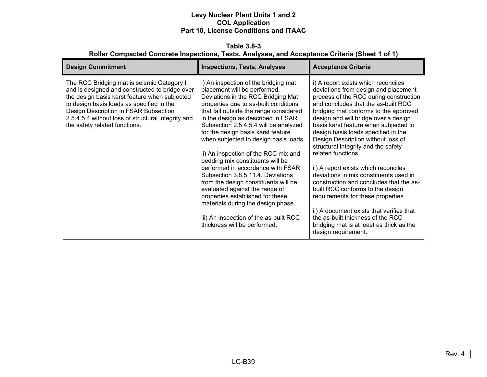**Table 3.8-3 Roller Compacted Concrete Inspections, Tests, Analyses, and Acceptance Criteria (Sheet 1 of 1)** 

| <b>Design Commitment</b>                                                                                                                                                                                                                                                                                                   | <b>Inspections, Tests, Analyses</b>                                                                                                                                                                                                                                                                                                                                                                                                                                                                                                                                                                                                                                                                                                             | <b>Acceptance Criteria</b>                                                                                                                                                                                                                                                                                                                                                                                                                                                                                                                                                                                                                                                                                                                                                                  |
|----------------------------------------------------------------------------------------------------------------------------------------------------------------------------------------------------------------------------------------------------------------------------------------------------------------------------|-------------------------------------------------------------------------------------------------------------------------------------------------------------------------------------------------------------------------------------------------------------------------------------------------------------------------------------------------------------------------------------------------------------------------------------------------------------------------------------------------------------------------------------------------------------------------------------------------------------------------------------------------------------------------------------------------------------------------------------------------|---------------------------------------------------------------------------------------------------------------------------------------------------------------------------------------------------------------------------------------------------------------------------------------------------------------------------------------------------------------------------------------------------------------------------------------------------------------------------------------------------------------------------------------------------------------------------------------------------------------------------------------------------------------------------------------------------------------------------------------------------------------------------------------------|
| The RCC Bridging mat is seismic Category I<br>and is designed and constructed to bridge over<br>the design basis karst feature when subjected<br>to design basis loads as specified in the<br>Design Description in FSAR Subsection<br>2.5.4.5.4 without loss of structural integrity and<br>the safety related functions. | i) An inspection of the bridging mat<br>placement will be performed.<br>Deviations in the RCC Bridging Mat<br>properties due to as-built conditions<br>that fall outside the range considered<br>in the design as described in FSAR<br>Subsection 2.5.4.5.4 will be analyzed<br>for the design basis karst feature<br>when subjected to design basis loads.<br>ii) An inspection of the RCC mix and<br>bedding mix constituents will be<br>performed in accordance with FSAR<br>Subsection 3.8.5.11.4. Deviations<br>from the design constituents will be<br>evaluated against the range of<br>properties established for these<br>materials during the design phase.<br>iii) An inspection of the as-built RCC<br>thickness will be performed. | i) A report exists which reconciles<br>deviations from design and placement<br>process of the RCC during construction<br>and concludes that the as-built RCC<br>bridging mat conforms to the approved<br>design and will bridge over a design<br>basis karst feature when subjected to<br>design basis loads specified in the<br>Design Description without loss of<br>structural integrity and the safety<br>related functions.<br>ii) A report exists which reconciles<br>deviations in mix constituents used in<br>construction and concludes that the as-<br>built RCC conforms to the design<br>requirements for these properties.<br>ii) A document exists that verifies that<br>the as-built thickness of the RCC<br>bridging mat is at least as thick as the<br>design requirement. |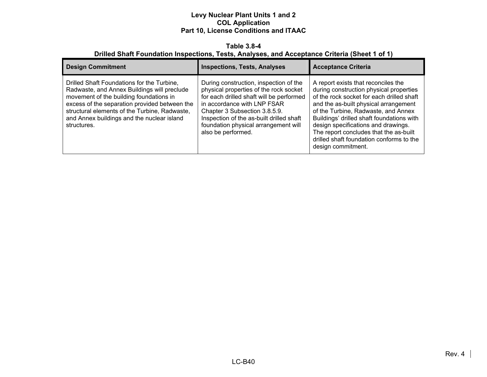#### **Table 3.8-4 Drilled Shaft Foundation Inspections, Tests, Analyses, and Acceptance Criteria (Sheet 1 of 1)**

| <b>Design Commitment</b>                                                                                                                                                                                                                                                                            | <b>Inspections, Tests, Analyses</b>                                                                                                                                                                                                                                                                    | <b>Acceptance Criteria</b>                                                                                                                                                                                                                                                                                                                                                                                  |
|-----------------------------------------------------------------------------------------------------------------------------------------------------------------------------------------------------------------------------------------------------------------------------------------------------|--------------------------------------------------------------------------------------------------------------------------------------------------------------------------------------------------------------------------------------------------------------------------------------------------------|-------------------------------------------------------------------------------------------------------------------------------------------------------------------------------------------------------------------------------------------------------------------------------------------------------------------------------------------------------------------------------------------------------------|
| Drilled Shaft Foundations for the Turbine,<br>Radwaste, and Annex Buildings will preclude<br>movement of the building foundations in<br>excess of the separation provided between the<br>structural elements of the Turbine, Radwaste,<br>and Annex buildings and the nuclear island<br>structures. | During construction, inspection of the<br>physical properties of the rock socket<br>for each drilled shaft will be performed<br>in accordance with LNP FSAR<br>Chapter 3 Subsection 3.8.5.9.<br>Inspection of the as-built drilled shaft<br>foundation physical arrangement will<br>also be performed. | A report exists that reconciles the<br>during construction physical properties<br>of the rock socket for each drilled shaft<br>and the as-built physical arrangement<br>of the Turbine, Radwaste, and Annex<br>Buildings' drilled shaft foundations with<br>design specifications and drawings.<br>The report concludes that the as-built<br>drilled shaft foundation conforms to the<br>design commitment. |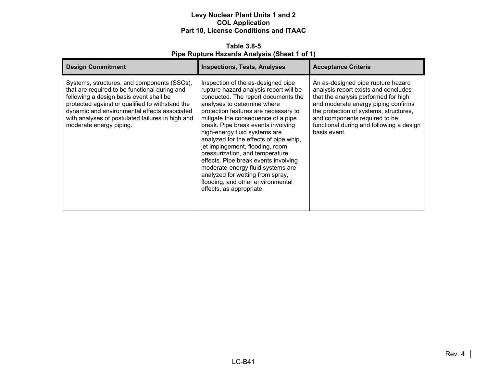**Table 3.8-5 Pipe Rupture Hazards Analysis (Sheet 1 of 1)** 

| <b>Design Commitment</b>                                                                                                                                                                                                                                                                                                  | <b>Inspections, Tests, Analyses</b>                                                                                                                                                                                                                                                                                                                                                                                                                                                                                                                                                                       | <b>Acceptance Criteria</b>                                                                                                                                                                                                                                                                       |
|---------------------------------------------------------------------------------------------------------------------------------------------------------------------------------------------------------------------------------------------------------------------------------------------------------------------------|-----------------------------------------------------------------------------------------------------------------------------------------------------------------------------------------------------------------------------------------------------------------------------------------------------------------------------------------------------------------------------------------------------------------------------------------------------------------------------------------------------------------------------------------------------------------------------------------------------------|--------------------------------------------------------------------------------------------------------------------------------------------------------------------------------------------------------------------------------------------------------------------------------------------------|
| Systems, structures, and components (SSCs),<br>that are required to be functional during and<br>following a design basis event shall be<br>protected against or qualified to withstand the<br>dynamic and environmental effects associated<br>with analyses of postulated failures in high and<br>moderate energy piping. | Inspection of the as-designed pipe<br>rupture hazard analysis report will be<br>conducted. The report documents the<br>analyses to determine where<br>protection features are necessary to<br>mitigate the consequence of a pipe<br>break. Pipe break events involving<br>high-energy fluid systems are<br>analyzed for the effects of pipe whip,<br>jet impingement, flooding, room<br>pressurization, and temperature<br>effects. Pipe break events involving<br>moderate-energy fluid systems are<br>analyzed for wetting from spray,<br>flooding, and other environmental<br>effects, as appropriate. | An as-designed pipe rupture hazard<br>analysis report exists and concludes<br>that the analysis performed for high<br>and moderate energy piping confirms<br>the protection of systems, structures,<br>and components required to be<br>functional during and following a design<br>basis event. |